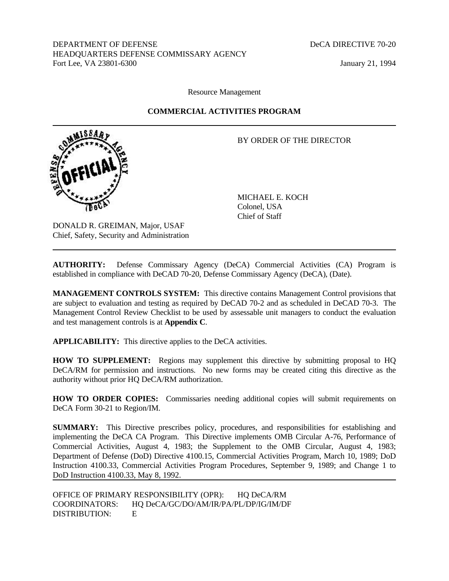DEPARTMENT OF DEFENSE DECA DIRECTIVE 70-20 HEADQUARTERS DEFENSE COMMISSARY AGENCY Fort Lee, VA 23801-6300 January 21, 1994

Resource Management

# **COMMERCIAL ACTIVITIES PROGRAM**

# BY ORDER OF THE DIRECTOR



MICHAEL E. KOCH Colonel, USA Chief of Staff

DONALD R. GREIMAN, Major, USAF Chief, Safety, Security and Administration

**AUTHORITY:** Defense Commissary Agency (DeCA) Commercial Activities (CA) Program is established in compliance with DeCAD 70-20, Defense Commissary Agency (DeCA), (Date).

**MANAGEMENT CONTROLS SYSTEM:** This directive contains Management Control provisions that are subject to evaluation and testing as required by DeCAD 70-2 and as scheduled in DeCAD 70-3. The Management Control Review Checklist to be used by assessable unit managers to conduct the evaluation and test management controls is at **Appendix C**.

**APPLICABILITY:** This directive applies to the DeCA activities.

**HOW TO SUPPLEMENT:** Regions may supplement this directive by submitting proposal to HQ DeCA/RM for permission and instructions. No new forms may be created citing this directive as the authority without prior HQ DeCA/RM authorization.

**HOW TO ORDER COPIES:** Commissaries needing additional copies will submit requirements on DeCA Form 30-21 to Region/IM.

**SUMMARY:** This Directive prescribes policy, procedures, and responsibilities for establishing and implementing the DeCA CA Program. This Directive implements OMB Circular A-76, Performance of Commercial Activities, August 4, 1983; the Supplement to the OMB Circular, August 4, 1983; Department of Defense (DoD) Directive 4100.15, Commercial Activities Program, March 10, 1989; DoD Instruction 4100.33, Commercial Activities Program Procedures, September 9, 1989; and Change 1 to DoD Instruction 4100.33, May 8, 1992.

OFFICE OF PRIMARY RESPONSIBILITY (OPR): HQ DeCA/RM COORDINATORS: HQ DeCA/GC/DO/AM/IR/PA/PL/DP/IG/IM/DF DISTRIBUTION: E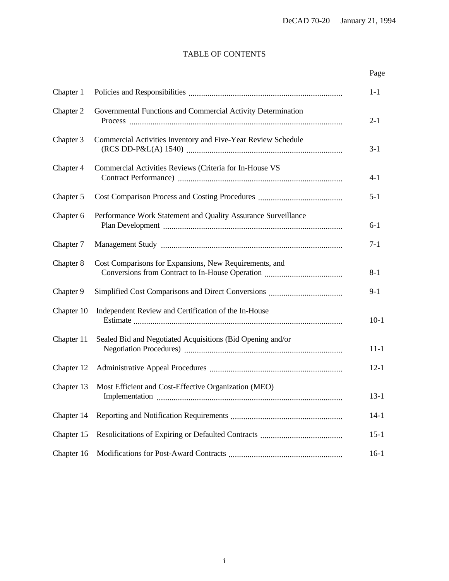# TABLE OF CONTENTS

# Page

| Chapter 1  |                                                               | $1-1$    |
|------------|---------------------------------------------------------------|----------|
| Chapter 2  | Governmental Functions and Commercial Activity Determination  | $2 - 1$  |
| Chapter 3  | Commercial Activities Inventory and Five-Year Review Schedule | $3-1$    |
| Chapter 4  | Commercial Activities Reviews (Criteria for In-House VS       | $4 - 1$  |
| Chapter 5  |                                                               | $5 - 1$  |
| Chapter 6  | Performance Work Statement and Quality Assurance Surveillance | $6 - 1$  |
| Chapter 7  |                                                               | $7 - 1$  |
| Chapter 8  | Cost Comparisons for Expansions, New Requirements, and        | $8 - 1$  |
| Chapter 9  |                                                               | $9-1$    |
| Chapter 10 | Independent Review and Certification of the In-House          | $10-1$   |
| Chapter 11 | Sealed Bid and Negotiated Acquisitions (Bid Opening and/or    | $11 - 1$ |
| Chapter 12 |                                                               | $12 - 1$ |
| Chapter 13 | Most Efficient and Cost-Effective Organization (MEO)          | $13 - 1$ |
| Chapter 14 |                                                               | $14-1$   |
| Chapter 15 |                                                               | $15-1$   |
| Chapter 16 |                                                               | $16-1$   |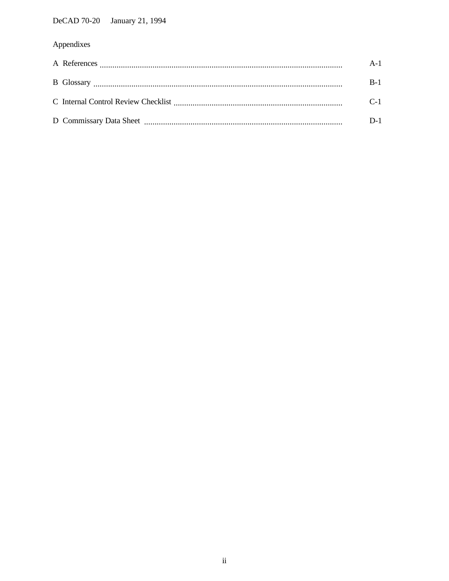# Appendixes

|  | $A-1$ |
|--|-------|
|  | $B-1$ |
|  | $C-1$ |
|  | D-1   |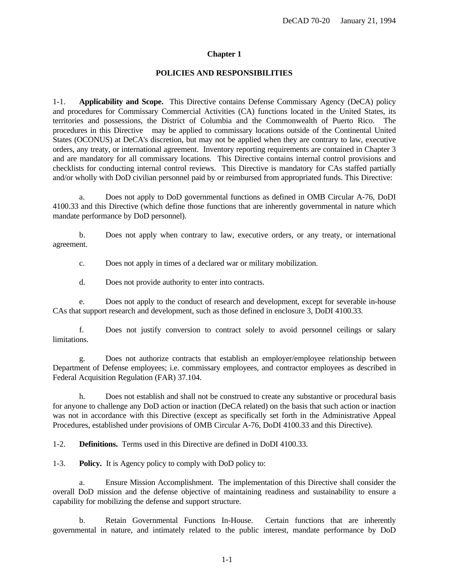#### **POLICIES AND RESPONSIBILITIES**

<span id="page-3-0"></span>1-1. **Applicability and Scope.** This Directive contains Defense Commissary Agency (DeCA) policy and procedures for Commissary Commercial Activities (CA) functions located in the United States, its territories and possessions, the District of Columbia and the Commonwealth of Puerto Rico. The procedures in this Directive may be applied to commissary locations outside of the Continental United States (OCONUS) at DeCA's discretion, but may not be applied when they are contrary to law, executive orders, any treaty, or international agreement. Inventory reporting requirements are contained in Chapter 3 and are mandatory for all commissary locations. This Directive contains internal control provisions and checklists for conducting internal control reviews. This Directive is mandatory for CAs staffed partially and/or wholly with DoD civilian personnel paid by or reimbursed from appropriated funds. This Directive:

a. Does not apply to DoD governmental functions as defined in OMB Circular A-76, DoDI 4100.33 and this Directive (which define those functions that are inherently governmental in nature which mandate performance by DoD personnel).

b. Does not apply when contrary to law, executive orders, or any treaty, or international agreement.

c. Does not apply in times of a declared war or military mobilization.

d. Does not provide authority to enter into contracts.

e. Does not apply to the conduct of research and development, except for severable in-house CAs that support research and development, such as those defined in enclosure 3, DoDI 4100.33.

f. Does not justify conversion to contract solely to avoid personnel ceilings or salary limitations.

g. Does not authorize contracts that establish an employer/employee relationship between Department of Defense employees; i.e. commissary employees, and contractor employees as described in Federal Acquisition Regulation (FAR) 37.104.

h. Does not establish and shall not be construed to create any substantive or procedural basis for anyone to challenge any DoD action or inaction (DeCA related) on the basis that such action or inaction was not in accordance with this Directive (except as specifically set forth in the Administrative Appeal Procedures, established under provisions of OMB Circular A-76, DoDI 4100.33 and this Directive).

1-2. **Definitions.** Terms used in this Directive are defined in DoDI 4100.33.

1-3. **Policy.** It is Agency policy to comply with DoD policy to:

a. Ensure Mission Accomplishment. The implementation of this Directive shall consider the overall DoD mission and the defense objective of maintaining readiness and sustainability to ensure a capability for mobilizing the defense and support structure.

b. Retain Governmental Functions In-House. Certain functions that are inherently governmental in nature, and intimately related to the public interest, mandate performance by DoD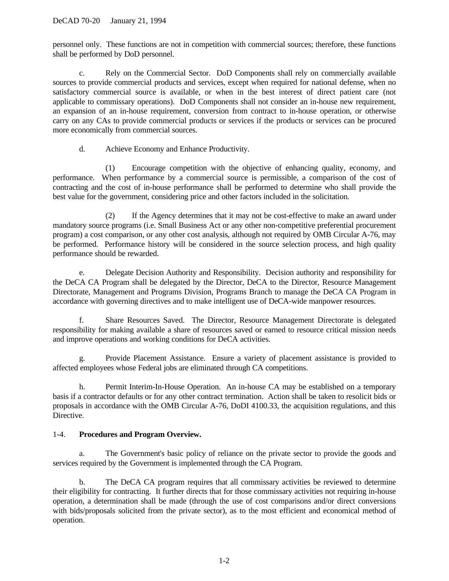personnel only. These functions are not in competition with commercial sources; therefore, these functions shall be performed by DoD personnel.

c. Rely on the Commercial Sector. DoD Components shall rely on commercially available sources to provide commercial products and services, except when required for national defense, when no satisfactory commercial source is available, or when in the best interest of direct patient care (not applicable to commissary operations). DoD Components shall not consider an in-house new requirement, an expansion of an in-house requirement, conversion from contract to in-house operation, or otherwise carry on any CAs to provide commercial products or services if the products or services can be procured more economically from commercial sources.

d. Achieve Economy and Enhance Productivity.

(1) Encourage competition with the objective of enhancing quality, economy, and performance. When performance by a commercial source is permissible, a comparison of the cost of contracting and the cost of in-house performance shall be performed to determine who shall provide the best value for the government, considering price and other factors included in the solicitation.

(2) If the Agency determines that it may not be cost-effective to make an award under mandatory source programs (i.e. Small Business Act or any other non-competitive preferential procurement program) a cost comparison, or any other cost analysis, although not required by OMB Circular A-76, may be performed. Performance history will be considered in the source selection process, and high quality performance should be rewarded.

e. Delegate Decision Authority and Responsibility. Decision authority and responsibility for the DeCA CA Program shall be delegated by the Director, DeCA to the Director, Resource Management Directorate, Management and Programs Division, Programs Branch to manage the DeCA CA Program in accordance with governing directives and to make intelligent use of DeCA-wide manpower resources.

f. Share Resources Saved. The Director, Resource Management Directorate is delegated responsibility for making available a share of resources saved or earned to resource critical mission needs and improve operations and working conditions for DeCA activities.

g. Provide Placement Assistance. Ensure a variety of placement assistance is provided to affected employees whose Federal jobs are eliminated through CA competitions.

h. Permit Interim-In-House Operation. An in-house CA may be established on a temporary basis if a contractor defaults or for any other contract termination. Action shall be taken to resolicit bids or proposals in accordance with the OMB Circular A-76, DoDI 4100.33, the acquisition regulations, and this Directive.

# 1-4. **Procedures and Program Overview.**

a. The Government's basic policy of reliance on the private sector to provide the goods and services required by the Government is implemented through the CA Program.

b. The DeCA CA program requires that all commissary activities be reviewed to determine their eligibility for contracting. It further directs that for those commissary activities not requiring in-house operation, a determination shall be made (through the use of cost comparisons and/or direct conversions with bids/proposals solicited from the private sector), as to the most efficient and economical method of operation.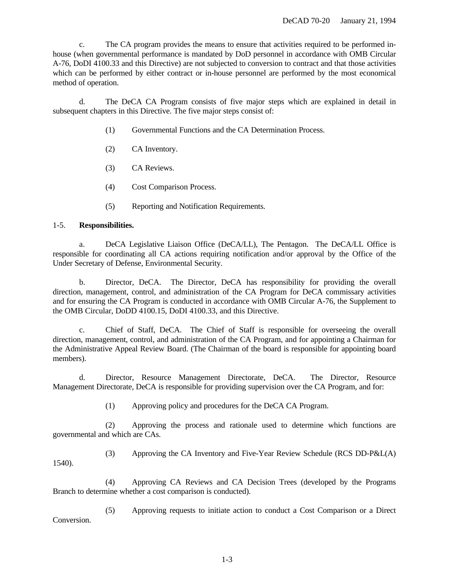c. The CA program provides the means to ensure that activities required to be performed inhouse (when governmental performance is mandated by DoD personnel in accordance with OMB Circular A-76, DoDI 4100.33 and this Directive) are not subjected to conversion to contract and that those activities which can be performed by either contract or in-house personnel are performed by the most economical method of operation.

d. The DeCA CA Program consists of five major steps which are explained in detail in subsequent chapters in this Directive. The five major steps consist of:

- (1) Governmental Functions and the CA Determination Process.
- (2) CA Inventory.
- (3) CA Reviews.
- (4) Cost Comparison Process.
- (5) Reporting and Notification Requirements.

# 1-5. **Responsibilities.**

1540).

a. DeCA Legislative Liaison Office (DeCA/LL), The Pentagon. The DeCA/LL Office is responsible for coordinating all CA actions requiring notification and/or approval by the Office of the Under Secretary of Defense, Environmental Security.

b. Director, DeCA. The Director, DeCA has responsibility for providing the overall direction, management, control, and administration of the CA Program for DeCA commissary activities and for ensuring the CA Program is conducted in accordance with OMB Circular A-76, the Supplement to the OMB Circular, DoDD 4100.15, DoDI 4100.33, and this Directive.

c. Chief of Staff, DeCA. The Chief of Staff is responsible for overseeing the overall direction, management, control, and administration of the CA Program, and for appointing a Chairman for the Administrative Appeal Review Board. (The Chairman of the board is responsible for appointing board members).

d. Director, Resource Management Directorate, DeCA. The Director, Resource Management Directorate, DeCA is responsible for providing supervision over the CA Program, and for:

(1) Approving policy and procedures for the DeCA CA Program.

(2) Approving the process and rationale used to determine which functions are governmental and which are CAs.

(3) Approving the CA Inventory and Five-Year Review Schedule (RCS DD-P&L(A)

(4) Approving CA Reviews and CA Decision Trees (developed by the Programs Branch to determine whether a cost comparison is conducted).

(5) Approving requests to initiate action to conduct a Cost Comparison or a Direct Conversion.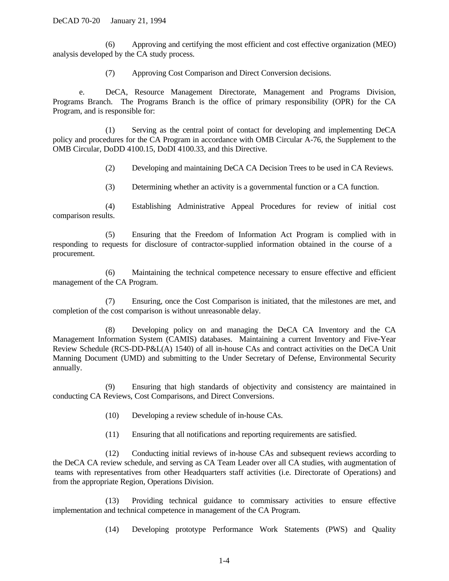(6) Approving and certifying the most efficient and cost effective organization (MEO) analysis developed by the CA study process.

(7) Approving Cost Comparison and Direct Conversion decisions.

e. DeCA, Resource Management Directorate, Management and Programs Division, Programs Branch.The Programs Branch is the office of primary responsibility (OPR) for the CA Program, and is responsible for:

(1) Serving as the central point of contact for developing and implementing DeCA policy and procedures for the CA Program in accordance with OMB Circular A-76, the Supplement to the OMB Circular, DoDD 4100.15, DoDI 4100.33, and this Directive.

(2) Developing and maintaining DeCA CA Decision Trees to be used in CA Reviews.

(3) Determining whether an activity is a governmental function or a CA function.

(4) Establishing Administrative Appeal Procedures for review of initial cost comparison results.

(5) Ensuring that the Freedom of Information Act Program is complied with in responding to requests for disclosure of contractor-supplied information obtained in the course of a procurement.

(6) Maintaining the technical competence necessary to ensure effective and efficient management of the CA Program.

(7) Ensuring, once the Cost Comparison is initiated, that the milestones are met, and completion of the cost comparison is without unreasonable delay.

(8) Developing policy on and managing the DeCA CA Inventory and the CA Management Information System (CAMIS) databases. Maintaining a current Inventory and Five-Year Review Schedule (RCS-DD-P&L(A) 1540) of all in-house CAs and contract activities on the DeCA Unit Manning Document (UMD) and submitting to the Under Secretary of Defense, Environmental Security annually.

(9) Ensuring that high standards of objectivity and consistency are maintained in conducting CA Reviews, Cost Comparisons, and Direct Conversions.

- (10) Developing a review schedule of in-house CAs.
- (11) Ensuring that all notifications and reporting requirements are satisfied.

(12) Conducting initial reviews of in-house CAs and subsequent reviews according to the DeCA CA review schedule, and serving as CA Team Leader over all CA studies, with augmentation of teams with representatives from other Headquarters staff activities (i.e. Directorate of Operations) and from the appropriate Region, Operations Division.

(13) Providing technical guidance to commissary activities to ensure effective implementation and technical competence in management of the CA Program.

(14) Developing prototype Performance Work Statements (PWS) and Quality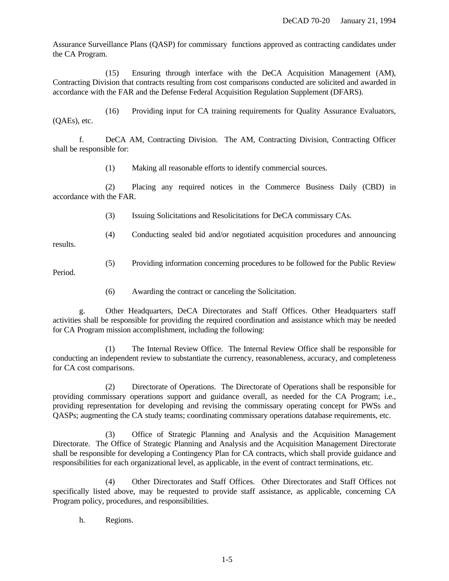Assurance Surveillance Plans (QASP) for commissary functions approved as contracting candidates under the CA Program.

(15) Ensuring through interface with the DeCA Acquisition Management (AM), Contracting Division that contracts resulting from cost comparisons conducted are solicited and awarded in accordance with the FAR and the Defense Federal Acquisition Regulation Supplement (DFARS).

(16) Providing input for CA training requirements for Quality Assurance Evaluators, (QAEs), etc.

f. DeCA AM, Contracting Division. The AM, Contracting Division, Contracting Officer shall be responsible for:

(1) Making all reasonable efforts to identify commercial sources.

(2) Placing any required notices in the Commerce Business Daily (CBD) in accordance with the FAR.

(3) Issuing Solicitations and Resolicitations for DeCA commissary CAs.

(4) Conducting sealed bid and/or negotiated acquisition procedures and announcing

results.

(5) Providing information concerning procedures to be followed for the Public Review

Period.

(6) Awarding the contract or canceling the Solicitation.

g. Other Headquarters, DeCA Directorates and Staff Offices. Other Headquarters staff activities shall be responsible for providing the required coordination and assistance which may be needed for CA Program mission accomplishment, including the following:

(1) The Internal Review Office. The Internal Review Office shall be responsible for conducting an independent review to substantiate the currency, reasonableness, accuracy, and completeness for CA cost comparisons.

(2) Directorate of Operations. The Directorate of Operations shall be responsible for providing commissary operations support and guidance overall, as needed for the CA Program; i.e., providing representation for developing and revising the commissary operating concept for PWSs and QASPs; augmenting the CA study teams; coordinating commissary operations database requirements, etc.

(3) Office of Strategic Planning and Analysis and the Acquisition Management Directorate. The Office of Strategic Planning and Analysis and the Acquisition Management Directorate shall be responsible for developing a Contingency Plan for CA contracts, which shall provide guidance and responsibilities for each organizational level, as applicable, in the event of contract terminations, etc.

(4) Other Directorates and Staff Offices. Other Directorates and Staff Offices not specifically listed above, may be requested to provide staff assistance, as applicable, concerning CA Program policy, procedures, and responsibilities.

h. Regions.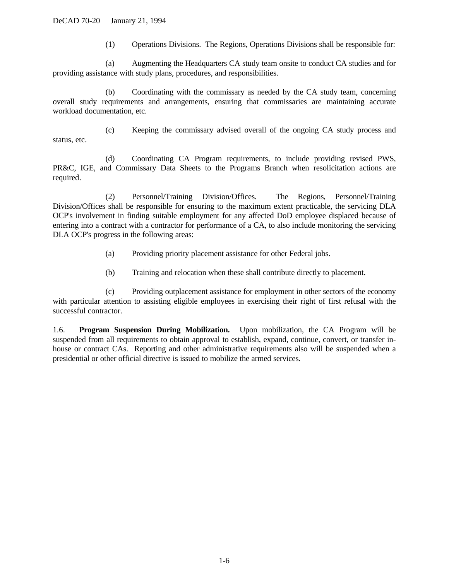(1) Operations Divisions. The Regions, Operations Divisions shall be responsible for:

(a) Augmenting the Headquarters CA study team onsite to conduct CA studies and for providing assistance with study plans, procedures, and responsibilities.

(b) Coordinating with the commissary as needed by the CA study team, concerning overall study requirements and arrangements, ensuring that commissaries are maintaining accurate workload documentation, etc.

(c) Keeping the commissary advised overall of the ongoing CA study process and status, etc.

(d) Coordinating CA Program requirements, to include providing revised PWS, PR&C, IGE, and Commissary Data Sheets to the Programs Branch when resolicitation actions are required.

(2) Personnel/Training Division/Offices. The Regions, Personnel/Training Division/Offices shall be responsible for ensuring to the maximum extent practicable, the servicing DLA OCP's involvement in finding suitable employment for any affected DoD employee displaced because of entering into a contract with a contractor for performance of a CA, to also include monitoring the servicing DLA OCP's progress in the following areas:

- (a) Providing priority placement assistance for other Federal jobs.
- (b) Training and relocation when these shall contribute directly to placement.

(c) Providing outplacement assistance for employment in other sectors of the economy with particular attention to assisting eligible employees in exercising their right of first refusal with the successful contractor.

1.6. **Program Suspension During Mobilization.** Upon mobilization, the CA Program will be suspended from all requirements to obtain approval to establish, expand, continue, convert, or transfer inhouse or contract CAs. Reporting and other administrative requirements also will be suspended when a presidential or other official directive is issued to mobilize the armed services.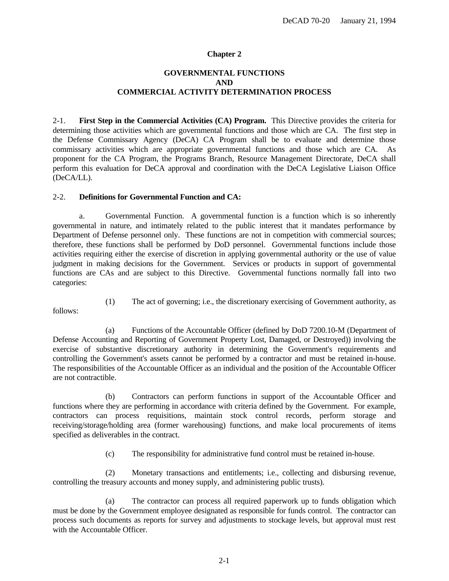# **GOVERNMENTAL FUNCTIONS AND COMMERCIAL ACTIVITY DETERMINATION PROCESS**

<span id="page-9-0"></span>2-1. **First Step in the Commercial Activities (CA) Program.** This Directive provides the criteria for determining those activities which are governmental functions and those which are CA. The first step in the Defense Commissary Agency (DeCA) CA Program shall be to evaluate and determine those commissary activities which are appropriate governmental functions and those which are CA. As proponent for the CA Program, the Programs Branch, Resource Management Directorate, DeCA shall perform this evaluation for DeCA approval and coordination with the DeCA Legislative Liaison Office (DeCA/LL).

#### 2-2. **Definitions for Governmental Function and CA:**

a. Governmental Function. A governmental function is a function which is so inherently governmental in nature, and intimately related to the public interest that it mandates performance by Department of Defense personnel only. These functions are not in competition with commercial sources; therefore, these functions shall be performed by DoD personnel. Governmental functions include those activities requiring either the exercise of discretion in applying governmental authority or the use of value judgment in making decisions for the Government. Services or products in support of governmental functions are CAs and are subject to this Directive. Governmental functions normally fall into two categories:

- 
- (1) The act of governing; i.e., the discretionary exercising of Government authority, as

follows:

(a) Functions of the Accountable Officer (defined by DoD 7200.10-M (Department of Defense Accounting and Reporting of Government Property Lost, Damaged, or Destroyed)) involving the exercise of substantive discretionary authority in determining the Government's requirements and controlling the Government's assets cannot be performed by a contractor and must be retained in-house. The responsibilities of the Accountable Officer as an individual and the position of the Accountable Officer are not contractible.

(b) Contractors can perform functions in support of the Accountable Officer and functions where they are performing in accordance with criteria defined by the Government. For example, contractors can process requisitions, maintain stock control records, perform storage and receiving/storage/holding area (former warehousing) functions, and make local procurements of items specified as deliverables in the contract.

(c) The responsibility for administrative fund control must be retained in-house.

(2) Monetary transactions and entitlements; i.e., collecting and disbursing revenue, controlling the treasury accounts and money supply, and administering public trusts).

(a) The contractor can process all required paperwork up to funds obligation which must be done by the Government employee designated as responsible for funds control. The contractor can process such documents as reports for survey and adjustments to stockage levels, but approval must rest with the Accountable Officer.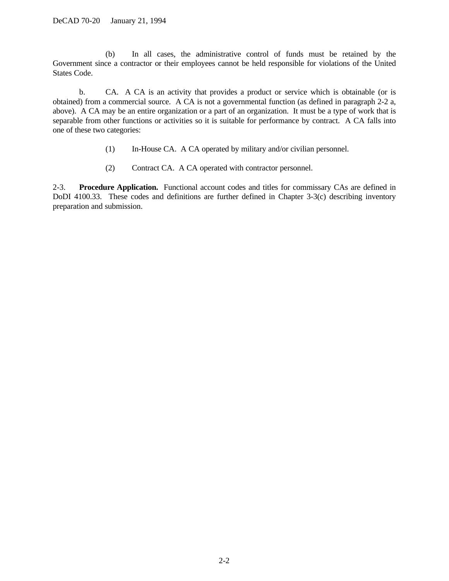(b) In all cases, the administrative control of funds must be retained by the Government since a contractor or their employees cannot be held responsible for violations of the United States Code.

b. CA. A CA is an activity that provides a product or service which is obtainable (or is obtained) from a commercial source. A CA is not a governmental function (as defined in paragraph 2-2 a, above). A CA may be an entire organization or a part of an organization. It must be a type of work that is separable from other functions or activities so it is suitable for performance by contract. A CA falls into one of these two categories:

- (1) In-House CA. A CA operated by military and/or civilian personnel.
- (2) Contract CA. A CA operated with contractor personnel.

2-3. **Procedure Application.** Functional account codes and titles for commissary CAs are defined in DoDI 4100.33. These codes and definitions are further defined in Chapter 3-3(c) describing inventory preparation and submission.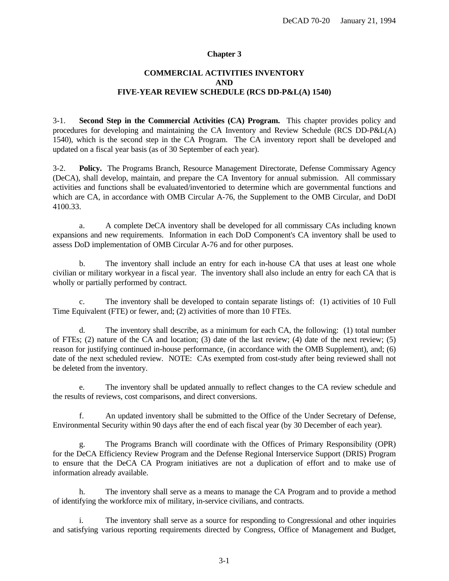# **COMMERCIAL ACTIVITIES INVENTORY AND FIVE-YEAR REVIEW SCHEDULE (RCS DD-P&L(A) 1540)**

<span id="page-11-0"></span>3-1. **Second Step in the Commercial Activities (CA) Program.** This chapter provides policy and procedures for developing and maintaining the CA Inventory and Review Schedule (RCS DD-P&L(A) 1540), which is the second step in the CA Program. The CA inventory report shall be developed and updated on a fiscal year basis (as of 30 September of each year).

3-2. **Policy.** The Programs Branch, Resource Management Directorate, Defense Commissary Agency (DeCA), shall develop, maintain, and prepare the CA Inventory for annual submission. All commissary activities and functions shall be evaluated/inventoried to determine which are governmental functions and which are CA, in accordance with OMB Circular A-76, the Supplement to the OMB Circular, and DoDI 4100.33.

a. A complete DeCA inventory shall be developed for all commissary CAs including known expansions and new requirements. Information in each DoD Component's CA inventory shall be used to assess DoD implementation of OMB Circular A-76 and for other purposes.

b. The inventory shall include an entry for each in-house CA that uses at least one whole civilian or military workyear in a fiscal year. The inventory shall also include an entry for each CA that is wholly or partially performed by contract.

c. The inventory shall be developed to contain separate listings of: (1) activities of 10 Full Time Equivalent (FTE) or fewer, and; (2) activities of more than 10 FTEs.

d. The inventory shall describe, as a minimum for each CA, the following: (1) total number of FTEs; (2) nature of the CA and location; (3) date of the last review; (4) date of the next review; (5) reason for justifying continued in-house performance, (in accordance with the OMB Supplement), and; (6) date of the next scheduled review. NOTE: CAs exempted from cost-study after being reviewed shall not be deleted from the inventory.

e. The inventory shall be updated annually to reflect changes to the CA review schedule and the results of reviews, cost comparisons, and direct conversions.

f. An updated inventory shall be submitted to the Office of the Under Secretary of Defense, Environmental Security within 90 days after the end of each fiscal year (by 30 December of each year).

g. The Programs Branch will coordinate with the Offices of Primary Responsibility (OPR) for the DeCA Efficiency Review Program and the Defense Regional Interservice Support (DRIS) Program to ensure that the DeCA CA Program initiatives are not a duplication of effort and to make use of information already available.

h. The inventory shall serve as a means to manage the CA Program and to provide a method of identifying the workforce mix of military, in-service civilians, and contracts.

i. The inventory shall serve as a source for responding to Congressional and other inquiries and satisfying various reporting requirements directed by Congress, Office of Management and Budget,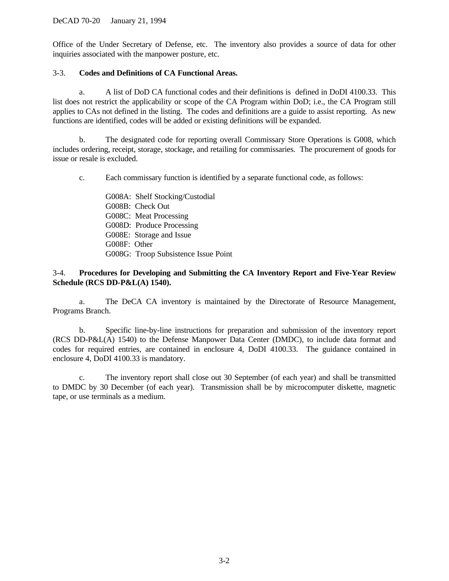Office of the Under Secretary of Defense, etc. The inventory also provides a source of data for other inquiries associated with the manpower posture, etc.

# 3-3. **Codes and Definitions of CA Functional Areas.**

a. A list of DoD CA functional codes and their definitions is defined in DoDI 4100.33. This list does not restrict the applicability or scope of the CA Program within DoD; i.e., the CA Program still applies to CAs not defined in the listing. The codes and definitions are a guide to assist reporting. As new functions are identified, codes will be added or existing definitions will be expanded.

b. The designated code for reporting overall Commissary Store Operations is G008, which includes ordering, receipt, storage, stockage, and retailing for commissaries. The procurement of goods for issue or resale is excluded.

c. Each commissary function is identified by a separate functional code, as follows:

G008A: Shelf Stocking/Custodial G008B: Check Out G008C: Meat Processing G008D: Produce Processing G008E: Storage and Issue G008F: Other G008G: Troop Subsistence Issue Point

# 3-4. **Procedures for Developing and Submitting the CA Inventory Report and Five-Year Review Schedule (RCS DD-P&L(A) 1540).**

a. The DeCA CA inventory is maintained by the Directorate of Resource Management, Programs Branch.

b. Specific line-by-line instructions for preparation and submission of the inventory report (RCS DD-P&L(A) 1540) to the Defense Manpower Data Center (DMDC), to include data format and codes for required entries, are contained in enclosure 4, DoDI 4100.33. The guidance contained in enclosure 4, DoDI 4100.33 is mandatory.

c. The inventory report shall close out 30 September (of each year) and shall be transmitted to DMDC by 30 December (of each year). Transmission shall be by microcomputer diskette, magnetic tape, or use terminals as a medium.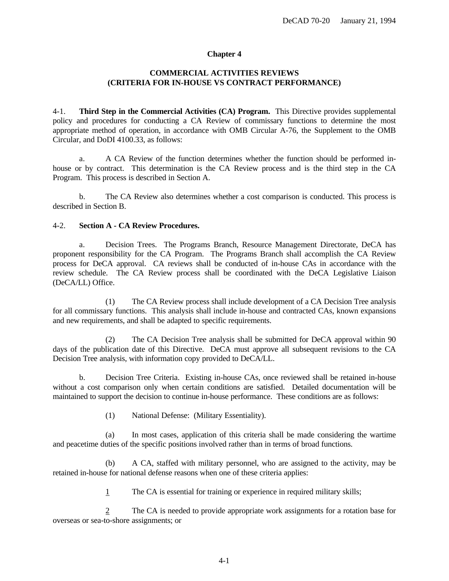# **COMMERCIAL ACTIVITIES REVIEWS (CRITERIA FOR IN-HOUSE VS CONTRACT PERFORMANCE)**

<span id="page-13-0"></span>4-1. **Third Step in the Commercial Activities (CA) Program.** This Directive provides supplemental policy and procedures for conducting a CA Review of commissary functions to determine the most appropriate method of operation, in accordance with OMB Circular A-76, the Supplement to the OMB Circular, and DoDI 4100.33, as follows:

a. A CA Review of the function determines whether the function should be performed inhouse or by contract. This determination is the CA Review process and is the third step in the CA Program. This process is described in Section A.

b. The CA Review also determines whether a cost comparison is conducted. This process is described in Section B.

### 4-2. **Section A - CA Review Procedures.**

a. Decision Trees. The Programs Branch, Resource Management Directorate, DeCA has proponent responsibility for the CA Program. The Programs Branch shall accomplish the CA Review process for DeCA approval. CA reviews shall be conducted of in-house CAs in accordance with the review schedule. The CA Review process shall be coordinated with the DeCA Legislative Liaison (DeCA/LL) Office.

(1) The CA Review process shall include development of a CA Decision Tree analysis for all commissary functions. This analysis shall include in-house and contracted CAs, known expansions and new requirements, and shall be adapted to specific requirements.

(2) The CA Decision Tree analysis shall be submitted for DeCA approval within 90 days of the publication date of this Directive. DeCA must approve all subsequent revisions to the CA Decision Tree analysis, with information copy provided to DeCA/LL.

b. Decision Tree Criteria. Existing in-house CAs, once reviewed shall be retained in-house without a cost comparison only when certain conditions are satisfied. Detailed documentation will be maintained to support the decision to continue in-house performance. These conditions are as follows:

(1) National Defense: (Military Essentiality).

(a) In most cases, application of this criteria shall be made considering the wartime and peacetime duties of the specific positions involved rather than in terms of broad functions.

(b) A CA, staffed with military personnel, who are assigned to the activity, may be retained in-house for national defense reasons when one of these criteria applies:

1 The CA is essential for training or experience in required military skills;

2 The CA is needed to provide appropriate work assignments for a rotation base for overseas or sea-to-shore assignments; or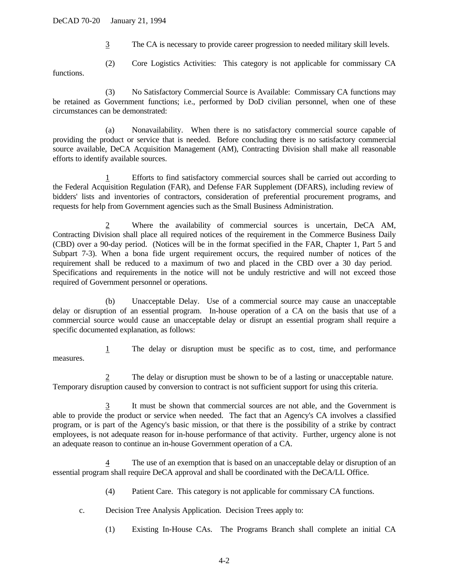3 The CA is necessary to provide career progression to needed military skill levels.

(2) Core Logistics Activities: This category is not applicable for commissary CA

functions.

(3) No Satisfactory Commercial Source is Available: Commissary CA functions may be retained as Government functions; i.e., performed by DoD civilian personnel, when one of these circumstances can be demonstrated:

(a) Nonavailability. When there is no satisfactory commercial source capable of providing the product or service that is needed. Before concluding there is no satisfactory commercial source available, DeCA Acquisition Management (AM), Contracting Division shall make all reasonable efforts to identify available sources.

1 Efforts to find satisfactory commercial sources shall be carried out according to the Federal Acquisition Regulation (FAR), and Defense FAR Supplement (DFARS), including review of bidders' lists and inventories of contractors, consideration of preferential procurement programs, and requests for help from Government agencies such as the Small Business Administration.

Where the availability of commercial sources is uncertain, DeCA AM, Contracting Division shall place all required notices of the requirement in the Commerce Business Daily (CBD) over a 90-day period. (Notices will be in the format specified in the FAR, Chapter 1, Part 5 and Subpart 7-3). When a bona fide urgent requirement occurs, the required number of notices of the requirement shall be reduced to a maximum of two and placed in the CBD over a 30 day period. Specifications and requirements in the notice will not be unduly restrictive and will not exceed those required of Government personnel or operations.

(b) Unacceptable Delay. Use of a commercial source may cause an unacceptable delay or disruption of an essential program. In-house operation of a CA on the basis that use of a commercial source would cause an unacceptable delay or disrupt an essential program shall require a specific documented explanation, as follows:

1 The delay or disruption must be specific as to cost, time, and performance measures.

2 The delay or disruption must be shown to be of a lasting or unacceptable nature. Temporary disruption caused by conversion to contract is not sufficient support for using this criteria.

3 It must be shown that commercial sources are not able, and the Government is able to provide the product or service when needed. The fact that an Agency's CA involves a classified program, or is part of the Agency's basic mission, or that there is the possibility of a strike by contract employees, is not adequate reason for in-house performance of that activity. Further, urgency alone is not an adequate reason to continue an in-house Government operation of a CA.

4 The use of an exemption that is based on an unacceptable delay or disruption of an essential program shall require DeCA approval and shall be coordinated with the DeCA/LL Office.

- (4) Patient Care. This category is not applicable for commissary CA functions.
- c. Decision Tree Analysis Application. Decision Trees apply to:
	- (1) Existing In-House CAs. The Programs Branch shall complete an initial CA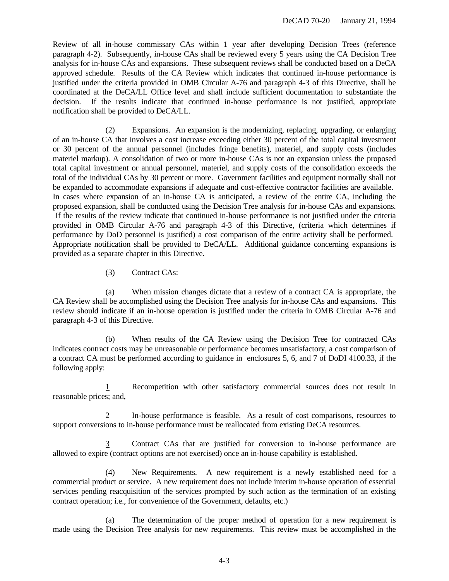Review of all in-house commissary CAs within 1 year after developing Decision Trees (reference paragraph 4-2). Subsequently, in-house CAs shall be reviewed every 5 years using the CA Decision Tree analysis for in-house CAs and expansions. These subsequent reviews shall be conducted based on a DeCA approved schedule. Results of the CA Review which indicates that continued in-house performance is justified under the criteria provided in OMB Circular A-76 and paragraph 4-3 of this Directive, shall be coordinated at the DeCA/LL Office level and shall include sufficient documentation to substantiate the decision. If the results indicate that continued in-house performance is not justified, appropriate notification shall be provided to DeCA/LL.

(2) Expansions. An expansion is the modernizing, replacing, upgrading, or enlarging of an in-house CA that involves a cost increase exceeding either 30 percent of the total capital investment or 30 percent of the annual personnel (includes fringe benefits), materiel, and supply costs (includes materiel markup). A consolidation of two or more in-house CAs is not an expansion unless the proposed total capital investment or annual personnel, materiel, and supply costs of the consolidation exceeds the total of the individual CAs by 30 percent or more. Government facilities and equipment normally shall not be expanded to accommodate expansions if adequate and cost-effective contractor facilities are available. In cases where expansion of an in-house CA is anticipated, a review of the entire CA, including the proposed expansion, shall be conducted using the Decision Tree analysis for in-house CAs and expansions. If the results of the review indicate that continued in-house performance is not justified under the criteria provided in OMB Circular A-76 and paragraph 4-3 of this Directive, (criteria which determines if performance by DoD personnel is justified) a cost comparison of the entire activity shall be performed. Appropriate notification shall be provided to DeCA/LL. Additional guidance concerning expansions is provided as a separate chapter in this Directive.

(3) Contract CAs:

(a) When mission changes dictate that a review of a contract CA is appropriate, the CA Review shall be accomplished using the Decision Tree analysis for in-house CAs and expansions. This review should indicate if an in-house operation is justified under the criteria in OMB Circular A-76 and paragraph 4-3 of this Directive.

(b) When results of the CA Review using the Decision Tree for contracted CAs indicates contract costs may be unreasonable or performance becomes unsatisfactory, a cost comparison of a contract CA must be performed according to guidance in enclosures 5, 6, and 7 of DoDI 4100.33, if the following apply:

1 Recompetition with other satisfactory commercial sources does not result in reasonable prices; and,

2 In-house performance is feasible. As a result of cost comparisons, resources to support conversions to in-house performance must be reallocated from existing DeCA resources.

Contract CAs that are justified for conversion to in-house performance are allowed to expire (contract options are not exercised) once an in-house capability is established.

(4) New Requirements. A new requirement is a newly established need for a commercial product or service. A new requirement does not include interim in-house operation of essential services pending reacquisition of the services prompted by such action as the termination of an existing contract operation; i.e., for convenience of the Government, defaults, etc.)

(a) The determination of the proper method of operation for a new requirement is made using the Decision Tree analysis for new requirements. This review must be accomplished in the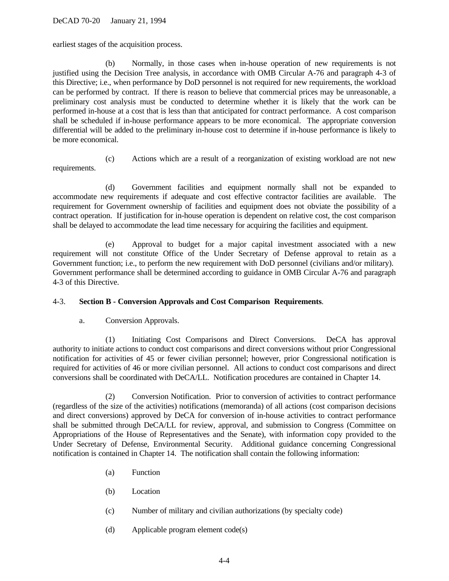earliest stages of the acquisition process.

(b) Normally, in those cases when in-house operation of new requirements is not justified using the Decision Tree analysis, in accordance with OMB Circular A-76 and paragraph 4-3 of this Directive; i.e., when performance by DoD personnel is not required for new requirements, the workload can be performed by contract. If there is reason to believe that commercial prices may be unreasonable, a preliminary cost analysis must be conducted to determine whether it is likely that the work can be performed in-house at a cost that is less than that anticipated for contract performance. A cost comparison shall be scheduled if in-house performance appears to be more economical. The appropriate conversion differential will be added to the preliminary in-house cost to determine if in-house performance is likely to be more economical.

requirements.

(c) Actions which are a result of a reorganization of existing workload are not new

(d) Government facilities and equipment normally shall not be expanded to accommodate new requirements if adequate and cost effective contractor facilities are available. The requirement for Government ownership of facilities and equipment does not obviate the possibility of a contract operation. If justification for in-house operation is dependent on relative cost, the cost comparison shall be delayed to accommodate the lead time necessary for acquiring the facilities and equipment.

(e) Approval to budget for a major capital investment associated with a new requirement will not constitute Office of the Under Secretary of Defense approval to retain as a Government function; i.e., to perform the new requirement with DoD personnel (civilians and/or military). Government performance shall be determined according to guidance in OMB Circular A-76 and paragraph 4-3 of this Directive.

# 4-3. **Section B - Conversion Approvals and Cost Comparison Requirements**.

a. Conversion Approvals.

(1) Initiating Cost Comparisons and Direct Conversions. DeCA has approval authority to initiate actions to conduct cost comparisons and direct conversions without prior Congressional notification for activities of 45 or fewer civilian personnel; however, prior Congressional notification is required for activities of 46 or more civilian personnel. All actions to conduct cost comparisons and direct conversions shall be coordinated with DeCA/LL. Notification procedures are contained in Chapter 14.

(2) Conversion Notification. Prior to conversion of activities to contract performance (regardless of the size of the activities) notifications (memoranda) of all actions (cost comparison decisions and direct conversions) approved by DeCA for conversion of in-house activities to contract performance shall be submitted through DeCA/LL for review, approval, and submission to Congress (Committee on Appropriations of the House of Representatives and the Senate), with information copy provided to the Under Secretary of Defense, Environmental Security. Additional guidance concerning Congressional notification is contained in Chapter 14. The notification shall contain the following information:

- (a) Function
- (b) Location
- (c) Number of military and civilian authorizations (by specialty code)
- (d) Applicable program element code(s)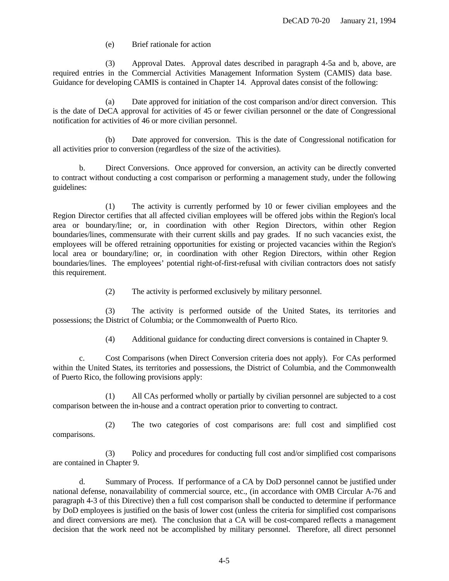(e) Brief rationale for action

(3) Approval Dates. Approval dates described in paragraph 4-5a and b, above, are required entries in the Commercial Activities Management Information System (CAMIS) data base. Guidance for developing CAMIS is contained in Chapter 14. Approval dates consist of the following:

(a) Date approved for initiation of the cost comparison and/or direct conversion. This is the date of DeCA approval for activities of 45 or fewer civilian personnel or the date of Congressional notification for activities of 46 or more civilian personnel.

(b) Date approved for conversion. This is the date of Congressional notification for all activities prior to conversion (regardless of the size of the activities).

b. Direct Conversions. Once approved for conversion, an activity can be directly converted to contract without conducting a cost comparison or performing a management study, under the following guidelines:

(1) The activity is currently performed by 10 or fewer civilian employees and the Region Director certifies that all affected civilian employees will be offered jobs within the Region's local area or boundary/line; or, in coordination with other Region Directors, within other Region boundaries/lines, commensurate with their current skills and pay grades. If no such vacancies exist, the employees will be offered retraining opportunities for existing or projected vacancies within the Region's local area or boundary/line; or, in coordination with other Region Directors, within other Region boundaries/lines. The employees' potential right-of-first-refusal with civilian contractors does not satisfy this requirement.

(2) The activity is performed exclusively by military personnel.

(3) The activity is performed outside of the United States, its territories and possessions; the District of Columbia; or the Commonwealth of Puerto Rico.

(4) Additional guidance for conducting direct conversions is contained in Chapter 9.

c. Cost Comparisons (when Direct Conversion criteria does not apply). For CAs performed within the United States, its territories and possessions, the District of Columbia, and the Commonwealth of Puerto Rico, the following provisions apply:

(1) All CAs performed wholly or partially by civilian personnel are subjected to a cost comparison between the in-house and a contract operation prior to converting to contract.

(2) The two categories of cost comparisons are: full cost and simplified cost comparisons.

(3) Policy and procedures for conducting full cost and/or simplified cost comparisons are contained in Chapter 9.

d. Summary of Process. If performance of a CA by DoD personnel cannot be justified under national defense, nonavailability of commercial source, etc., (in accordance with OMB Circular A-76 and paragraph 4-3 of this Directive) then a full cost comparison shall be conducted to determine if performance by DoD employees is justified on the basis of lower cost (unless the criteria for simplified cost comparisons and direct conversions are met). The conclusion that a CA will be cost-compared reflects a management decision that the work need not be accomplished by military personnel. Therefore, all direct personnel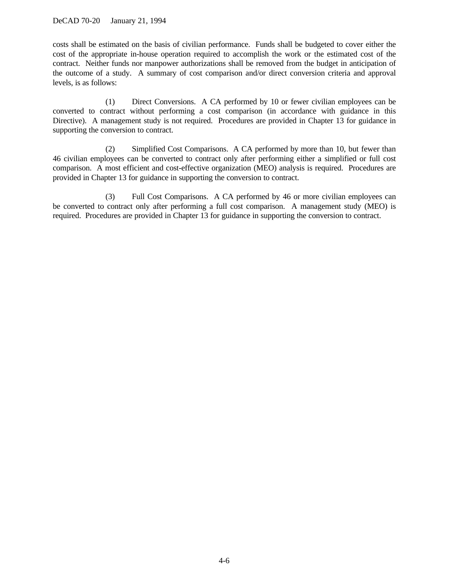costs shall be estimated on the basis of civilian performance. Funds shall be budgeted to cover either the cost of the appropriate in-house operation required to accomplish the work or the estimated cost of the contract. Neither funds nor manpower authorizations shall be removed from the budget in anticipation of the outcome of a study. A summary of cost comparison and/or direct conversion criteria and approval levels, is as follows:

(1) Direct Conversions. A CA performed by 10 or fewer civilian employees can be converted to contract without performing a cost comparison (in accordance with guidance in this Directive). A management study is not required. Procedures are provided in Chapter 13 for guidance in supporting the conversion to contract.

(2) Simplified Cost Comparisons. A CA performed by more than 10, but fewer than 46 civilian employees can be converted to contract only after performing either a simplified or full cost comparison. A most efficient and cost-effective organization (MEO) analysis is required. Procedures are provided in Chapter 13 for guidance in supporting the conversion to contract.

(3) Full Cost Comparisons. A CA performed by 46 or more civilian employees can be converted to contract only after performing a full cost comparison. A management study (MEO) is required. Procedures are provided in Chapter 13 for guidance in supporting the conversion to contract.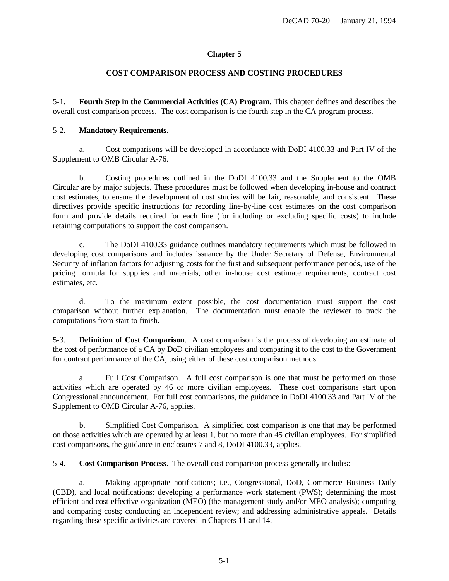# **COST COMPARISON PROCESS AND COSTING PROCEDURES**

<span id="page-19-0"></span>5-1. **Fourth Step in the Commercial Activities (CA) Program**. This chapter defines and describes the overall cost comparison process. The cost comparison is the fourth step in the CA program process.

# 5-2. **Mandatory Requirements**.

a. Cost comparisons will be developed in accordance with DoDI 4100.33 and Part IV of the Supplement to OMB Circular A-76.

b. Costing procedures outlined in the DoDI 4100.33 and the Supplement to the OMB Circular are by major subjects. These procedures must be followed when developing in-house and contract cost estimates, to ensure the development of cost studies will be fair, reasonable, and consistent. These directives provide specific instructions for recording line-by-line cost estimates on the cost comparison form and provide details required for each line (for including or excluding specific costs) to include retaining computations to support the cost comparison.

c. The DoDI 4100.33 guidance outlines mandatory requirements which must be followed in developing cost comparisons and includes issuance by the Under Secretary of Defense, Environmental Security of inflation factors for adjusting costs for the first and subsequent performance periods, use of the pricing formula for supplies and materials, other in-house cost estimate requirements, contract cost estimates, etc.

d. To the maximum extent possible, the cost documentation must support the cost comparison without further explanation. The documentation must enable the reviewer to track the computations from start to finish.

5-3. **Definition of Cost Comparison**. A cost comparison is the process of developing an estimate of the cost of performance of a CA by DoD civilian employees and comparing it to the cost to the Government for contract performance of the CA, using either of these cost comparison methods:

a. Full Cost Comparison. A full cost comparison is one that must be performed on those activities which are operated by 46 or more civilian employees. These cost comparisons start upon Congressional announcement. For full cost comparisons, the guidance in DoDI 4100.33 and Part IV of the Supplement to OMB Circular A-76, applies.

b. Simplified Cost Comparison. A simplified cost comparison is one that may be performed on those activities which are operated by at least 1, but no more than 45 civilian employees. For simplified cost comparisons, the guidance in enclosures 7 and 8, DoDI 4100.33, applies.

5-4. **Cost Comparison Process**. The overall cost comparison process generally includes:

a. Making appropriate notifications; i.e., Congressional, DoD, Commerce Business Daily (CBD), and local notifications; developing a performance work statement (PWS); determining the most efficient and cost-effective organization (MEO) (the management study and/or MEO analysis); computing and comparing costs; conducting an independent review; and addressing administrative appeals. Details regarding these specific activities are covered in Chapters 11 and 14.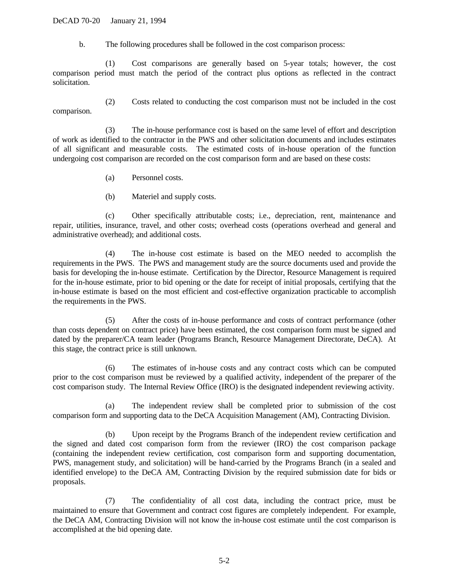DeCAD 70-20 January 21, 1994

b. The following procedures shall be followed in the cost comparison process:

(1) Cost comparisons are generally based on 5-year totals; however, the cost comparison period must match the period of the contract plus options as reflected in the contract solicitation.

(2) Costs related to conducting the cost comparison must not be included in the cost comparison.

(3) The in-house performance cost is based on the same level of effort and description of work as identified to the contractor in the PWS and other solicitation documents and includes estimates of all significant and measurable costs. The estimated costs of in-house operation of the function undergoing cost comparison are recorded on the cost comparison form and are based on these costs:

- (a) Personnel costs.
- (b) Materiel and supply costs.

(c) Other specifically attributable costs; i.e., depreciation, rent, maintenance and repair, utilities, insurance, travel, and other costs; overhead costs (operations overhead and general and administrative overhead); and additional costs.

(4) The in-house cost estimate is based on the MEO needed to accomplish the requirements in the PWS. The PWS and management study are the source documents used and provide the basis for developing the in-house estimate. Certification by the Director, Resource Management is required for the in-house estimate, prior to bid opening or the date for receipt of initial proposals, certifying that the in-house estimate is based on the most efficient and cost-effective organization practicable to accomplish the requirements in the PWS.

(5) After the costs of in-house performance and costs of contract performance (other than costs dependent on contract price) have been estimated, the cost comparison form must be signed and dated by the preparer/CA team leader (Programs Branch, Resource Management Directorate, DeCA). At this stage, the contract price is still unknown.

(6) The estimates of in-house costs and any contract costs which can be computed prior to the cost comparison must be reviewed by a qualified activity, independent of the preparer of the cost comparison study. The Internal Review Office (IRO) is the designated independent reviewing activity.

(a) The independent review shall be completed prior to submission of the cost comparison form and supporting data to the DeCA Acquisition Management (AM), Contracting Division.

(b) Upon receipt by the Programs Branch of the independent review certification and the signed and dated cost comparison form from the reviewer (IRO) the cost comparison package (containing the independent review certification, cost comparison form and supporting documentation, PWS, management study, and solicitation) will be hand-carried by the Programs Branch (in a sealed and identified envelope) to the DeCA AM, Contracting Division by the required submission date for bids or proposals.

(7) The confidentiality of all cost data, including the contract price, must be maintained to ensure that Government and contract cost figures are completely independent. For example, the DeCA AM, Contracting Division will not know the in-house cost estimate until the cost comparison is accomplished at the bid opening date.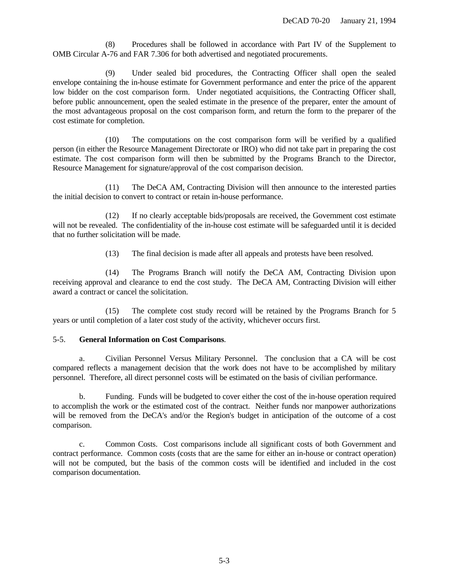(8) Procedures shall be followed in accordance with Part IV of the Supplement to OMB Circular A-76 and FAR 7.306 for both advertised and negotiated procurements.

Under sealed bid procedures, the Contracting Officer shall open the sealed envelope containing the in-house estimate for Government performance and enter the price of the apparent low bidder on the cost comparison form. Under negotiated acquisitions, the Contracting Officer shall, before public announcement, open the sealed estimate in the presence of the preparer, enter the amount of the most advantageous proposal on the cost comparison form, and return the form to the preparer of the cost estimate for completion.

(10) The computations on the cost comparison form will be verified by a qualified person (in either the Resource Management Directorate or IRO) who did not take part in preparing the cost estimate. The cost comparison form will then be submitted by the Programs Branch to the Director, Resource Management for signature/approval of the cost comparison decision.

(11) The DeCA AM, Contracting Division will then announce to the interested parties the initial decision to convert to contract or retain in-house performance.

(12) If no clearly acceptable bids/proposals are received, the Government cost estimate will not be revealed. The confidentiality of the in-house cost estimate will be safeguarded until it is decided that no further solicitation will be made.

(13) The final decision is made after all appeals and protests have been resolved.

(14) The Programs Branch will notify the DeCA AM, Contracting Division upon receiving approval and clearance to end the cost study. The DeCA AM, Contracting Division will either award a contract or cancel the solicitation.

(15) The complete cost study record will be retained by the Programs Branch for 5 years or until completion of a later cost study of the activity, whichever occurs first.

### 5-5. **General Information on Cost Comparisons**.

a. Civilian Personnel Versus Military Personnel. The conclusion that a CA will be cost compared reflects a management decision that the work does not have to be accomplished by military personnel. Therefore, all direct personnel costs will be estimated on the basis of civilian performance.

b. Funding. Funds will be budgeted to cover either the cost of the in-house operation required to accomplish the work or the estimated cost of the contract. Neither funds nor manpower authorizations will be removed from the DeCA's and/or the Region's budget in anticipation of the outcome of a cost comparison.

c. Common Costs. Cost comparisons include all significant costs of both Government and contract performance. Common costs (costs that are the same for either an in-house or contract operation) will not be computed, but the basis of the common costs will be identified and included in the cost comparison documentation.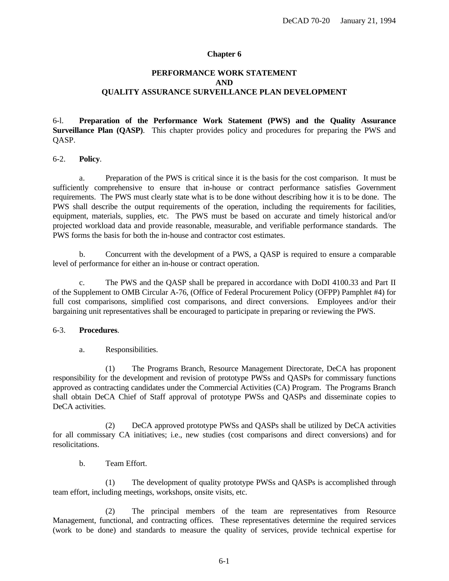# <span id="page-22-0"></span>**PERFORMANCE WORK STATEMENT AND QUALITY ASSURANCE SURVEILLANCE PLAN DEVELOPMENT**

6-l. **Preparation of the Performance Work Statement (PWS) and the Quality Assurance Surveillance Plan (QASP)**. This chapter provides policy and procedures for preparing the PWS and QASP.

### 6-2. **Policy**.

a. Preparation of the PWS is critical since it is the basis for the cost comparison. It must be sufficiently comprehensive to ensure that in-house or contract performance satisfies Government requirements. The PWS must clearly state what is to be done without describing how it is to be done. The PWS shall describe the output requirements of the operation, including the requirements for facilities, equipment, materials, supplies, etc. The PWS must be based on accurate and timely historical and/or projected workload data and provide reasonable, measurable, and verifiable performance standards. The PWS forms the basis for both the in-house and contractor cost estimates.

b. Concurrent with the development of a PWS, a QASP is required to ensure a comparable level of performance for either an in-house or contract operation.

c. The PWS and the QASP shall be prepared in accordance with DoDI 4100.33 and Part II of the Supplement to OMB Circular A-76, (Office of Federal Procurement Policy (OFPP) Pamphlet #4) for full cost comparisons, simplified cost comparisons, and direct conversions. Employees and/or their bargaining unit representatives shall be encouraged to participate in preparing or reviewing the PWS.

#### 6-3. **Procedures**.

a. Responsibilities.

(1) The Programs Branch, Resource Management Directorate, DeCA has proponent responsibility for the development and revision of prototype PWSs and QASPs for commissary functions approved as contracting candidates under the Commercial Activities (CA) Program. The Programs Branch shall obtain DeCA Chief of Staff approval of prototype PWSs and QASPs and disseminate copies to DeCA activities.

(2) DeCA approved prototype PWSs and QASPs shall be utilized by DeCA activities for all commissary CA initiatives; i.e., new studies (cost comparisons and direct conversions) and for resolicitations.

b. Team Effort.

(1) The development of quality prototype PWSs and QASPs is accomplished through team effort, including meetings, workshops, onsite visits, etc.

(2) The principal members of the team are representatives from Resource Management, functional, and contracting offices. These representatives determine the required services (work to be done) and standards to measure the quality of services, provide technical expertise for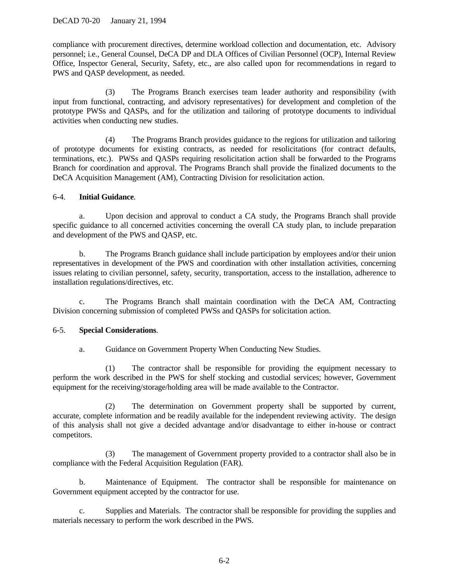compliance with procurement directives, determine workload collection and documentation, etc. Advisory personnel; i.e., General Counsel, DeCA DP and DLA Offices of Civilian Personnel (OCP), Internal Review Office, Inspector General, Security, Safety, etc., are also called upon for recommendations in regard to PWS and QASP development, as needed.

(3) The Programs Branch exercises team leader authority and responsibility (with input from functional, contracting, and advisory representatives) for development and completion of the prototype PWSs and QASPs, and for the utilization and tailoring of prototype documents to individual activities when conducting new studies.

(4) The Programs Branch provides guidance to the regions for utilization and tailoring of prototype documents for existing contracts, as needed for resolicitations (for contract defaults, terminations, etc.). PWSs and QASPs requiring resolicitation action shall be forwarded to the Programs Branch for coordination and approval. The Programs Branch shall provide the finalized documents to the DeCA Acquisition Management (AM), Contracting Division for resolicitation action.

# 6-4. **Initial Guidance**.

a. Upon decision and approval to conduct a CA study, the Programs Branch shall provide specific guidance to all concerned activities concerning the overall CA study plan, to include preparation and development of the PWS and QASP, etc.

b. The Programs Branch guidance shall include participation by employees and/or their union representatives in development of the PWS and coordination with other installation activities, concerning issues relating to civilian personnel, safety, security, transportation, access to the installation, adherence to installation regulations/directives, etc.

c. The Programs Branch shall maintain coordination with the DeCA AM, Contracting Division concerning submission of completed PWSs and QASPs for solicitation action.

# 6-5. **Special Considerations**.

a. Guidance on Government Property When Conducting New Studies.

(1) The contractor shall be responsible for providing the equipment necessary to perform the work described in the PWS for shelf stocking and custodial services; however, Government equipment for the receiving/storage/holding area will be made available to the Contractor.

(2) The determination on Government property shall be supported by current, accurate, complete information and be readily available for the independent reviewing activity. The design of this analysis shall not give a decided advantage and/or disadvantage to either in-house or contract competitors.

(3) The management of Government property provided to a contractor shall also be in compliance with the Federal Acquisition Regulation (FAR).

b. Maintenance of Equipment. The contractor shall be responsible for maintenance on Government equipment accepted by the contractor for use.

c. Supplies and Materials. The contractor shall be responsible for providing the supplies and materials necessary to perform the work described in the PWS.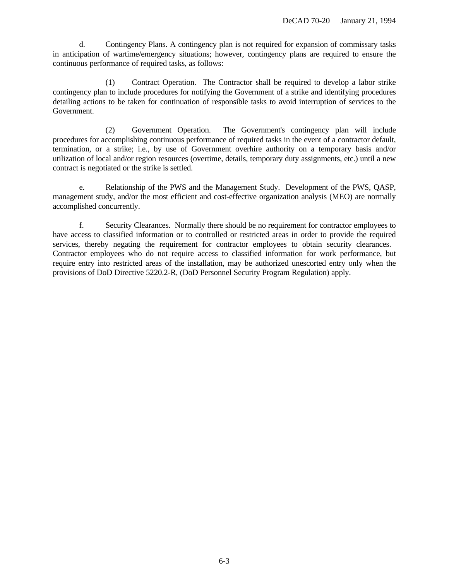d. Contingency Plans. A contingency plan is not required for expansion of commissary tasks in anticipation of wartime/emergency situations; however, contingency plans are required to ensure the continuous performance of required tasks, as follows:

(1) Contract Operation. The Contractor shall be required to develop a labor strike contingency plan to include procedures for notifying the Government of a strike and identifying procedures detailing actions to be taken for continuation of responsible tasks to avoid interruption of services to the Government.

(2) Government Operation. The Government's contingency plan will include procedures for accomplishing continuous performance of required tasks in the event of a contractor default, termination, or a strike; i.e., by use of Government overhire authority on a temporary basis and/or utilization of local and/or region resources (overtime, details, temporary duty assignments, etc.) until a new contract is negotiated or the strike is settled.

e. Relationship of the PWS and the Management Study. Development of the PWS, QASP, management study, and/or the most efficient and cost-effective organization analysis (MEO) are normally accomplished concurrently.

f. Security Clearances. Normally there should be no requirement for contractor employees to have access to classified information or to controlled or restricted areas in order to provide the required services, thereby negating the requirement for contractor employees to obtain security clearances. Contractor employees who do not require access to classified information for work performance, but require entry into restricted areas of the installation, may be authorized unescorted entry only when the provisions of DoD Directive 5220.2-R, (DoD Personnel Security Program Regulation) apply.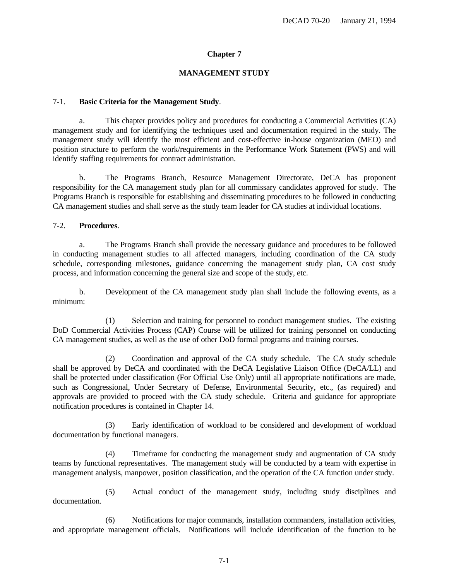# **MANAGEMENT STUDY**

### <span id="page-25-0"></span>7-1. **Basic Criteria for the Management Study**.

a. This chapter provides policy and procedures for conducting a Commercial Activities (CA) management study and for identifying the techniques used and documentation required in the study. The management study will identify the most efficient and cost-effective in-house organization (MEO) and position structure to perform the work/requirements in the Performance Work Statement (PWS) and will identify staffing requirements for contract administration.

b. The Programs Branch, Resource Management Directorate, DeCA has proponent responsibility for the CA management study plan for all commissary candidates approved for study. The Programs Branch is responsible for establishing and disseminating procedures to be followed in conducting CA management studies and shall serve as the study team leader for CA studies at individual locations.

### 7-2. **Procedures**.

a. The Programs Branch shall provide the necessary guidance and procedures to be followed in conducting management studies to all affected managers, including coordination of the CA study schedule, corresponding milestones, guidance concerning the management study plan, CA cost study process, and information concerning the general size and scope of the study, etc.

b. Development of the CA management study plan shall include the following events, as a minimum:

(1) Selection and training for personnel to conduct management studies. The existing DoD Commercial Activities Process (CAP) Course will be utilized for training personnel on conducting CA management studies, as well as the use of other DoD formal programs and training courses.

(2) Coordination and approval of the CA study schedule. The CA study schedule shall be approved by DeCA and coordinated with the DeCA Legislative Liaison Office (DeCA/LL) and shall be protected under classification (For Official Use Only) until all appropriate notifications are made, such as Congressional, Under Secretary of Defense, Environmental Security, etc., (as required) and approvals are provided to proceed with the CA study schedule. Criteria and guidance for appropriate notification procedures is contained in Chapter 14.

(3) Early identification of workload to be considered and development of workload documentation by functional managers.

(4) Timeframe for conducting the management study and augmentation of CA study teams by functional representatives. The management study will be conducted by a team with expertise in management analysis, manpower, position classification, and the operation of the CA function under study.

(5) Actual conduct of the management study, including study disciplines and documentation.

(6) Notifications for major commands, installation commanders, installation activities, and appropriate management officials. Notifications will include identification of the function to be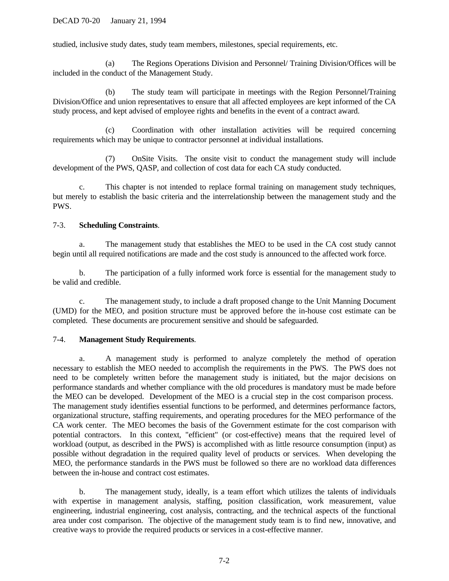studied, inclusive study dates, study team members, milestones, special requirements, etc.

(a) The Regions Operations Division and Personnel/ Training Division/Offices will be included in the conduct of the Management Study.

(b) The study team will participate in meetings with the Region Personnel/Training Division/Office and union representatives to ensure that all affected employees are kept informed of the CA study process, and kept advised of employee rights and benefits in the event of a contract award.

(c) Coordination with other installation activities will be required concerning requirements which may be unique to contractor personnel at individual installations.

(7) OnSite Visits. The onsite visit to conduct the management study will include development of the PWS, QASP, and collection of cost data for each CA study conducted.

c. This chapter is not intended to replace formal training on management study techniques, but merely to establish the basic criteria and the interrelationship between the management study and the PWS.

# 7-3. **Scheduling Constraints**.

a. The management study that establishes the MEO to be used in the CA cost study cannot begin until all required notifications are made and the cost study is announced to the affected work force.

b. The participation of a fully informed work force is essential for the management study to be valid and credible.

c. The management study, to include a draft proposed change to the Unit Manning Document (UMD) for the MEO, and position structure must be approved before the in-house cost estimate can be completed. These documents are procurement sensitive and should be safeguarded.

# 7-4. **Management Study Requirements**.

a. A management study is performed to analyze completely the method of operation necessary to establish the MEO needed to accomplish the requirements in the PWS. The PWS does not need to be completely written before the management study is initiated, but the major decisions on performance standards and whether compliance with the old procedures is mandatory must be made before the MEO can be developed. Development of the MEO is a crucial step in the cost comparison process. The management study identifies essential functions to be performed, and determines performance factors, organizational structure, staffing requirements, and operating procedures for the MEO performance of the CA work center. The MEO becomes the basis of the Government estimate for the cost comparison with potential contractors. In this context, "efficient" (or cost-effective) means that the required level of workload (output, as described in the PWS) is accomplished with as little resource consumption (input) as possible without degradation in the required quality level of products or services. When developing the MEO, the performance standards in the PWS must be followed so there are no workload data differences between the in-house and contract cost estimates.

b. The management study, ideally, is a team effort which utilizes the talents of individuals with expertise in management analysis, staffing, position classification, work measurement, value engineering, industrial engineering, cost analysis, contracting, and the technical aspects of the functional area under cost comparison. The objective of the management study team is to find new, innovative, and creative ways to provide the required products or services in a cost-effective manner.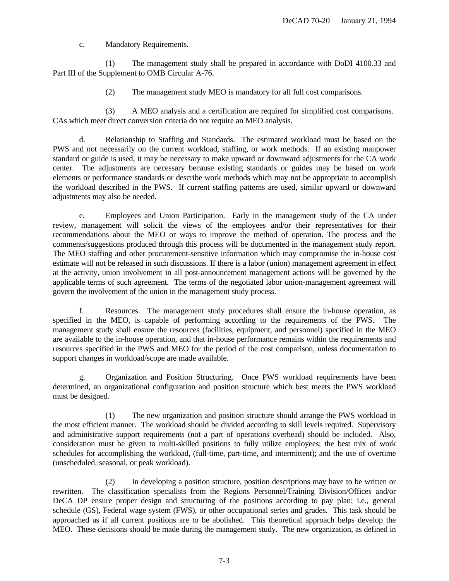c. Mandatory Requirements.

(1) The management study shall be prepared in accordance with DoDI 4100.33 and Part III of the Supplement to OMB Circular A-76.

(2) The management study MEO is mandatory for all full cost comparisons.

(3) A MEO analysis and a certification are required for simplified cost comparisons. CAs which meet direct conversion criteria do not require an MEO analysis.

d. Relationship to Staffing and Standards. The estimated workload must be based on the PWS and not necessarily on the current workload, staffing, or work methods. If an existing manpower standard or guide is used, it may be necessary to make upward or downward adjustments for the CA work center. The adjustments are necessary because existing standards or guides may be based on work elements or performance standards or describe work methods which may not be appropriate to accomplish the workload described in the PWS. If current staffing patterns are used, similar upward or downward adjustments may also be needed.

e. Employees and Union Participation. Early in the management study of the CA under review, management will solicit the views of the employees and/or their representatives for their recommendations about the MEO or ways to improve the method of operation. The process and the comments/suggestions produced through this process will be documented in the management study report. The MEO staffing and other procurement-sensitive information which may compromise the in-house cost estimate will not be released in such discussions. If there is a labor (union) management agreement in effect at the activity, union involvement in all post-announcement management actions will be governed by the applicable terms of such agreement. The terms of the negotiated labor union-management agreement will govern the involvement of the union in the management study process.

f. Resources. The management study procedures shall ensure the in-house operation, as specified in the MEO, is capable of performing according to the requirements of the PWS. The management study shall ensure the resources (facilities, equipment, and personnel) specified in the MEO are available to the in-house operation, and that in-house performance remains within the requirements and resources specified in the PWS and MEO for the period of the cost comparison, unless documentation to support changes in workload/scope are made available.

g. Organization and Position Structuring. Once PWS workload requirements have been determined, an organizational configuration and position structure which best meets the PWS workload must be designed.

(1) The new organization and position structure should arrange the PWS workload in the most efficient manner. The workload should be divided according to skill levels required. Supervisory and administrative support requirements (not a part of operations overhead) should be included. Also, consideration must be given to multi-skilled positions to fully utilize employees; the best mix of work schedules for accomplishing the workload, (full-time, part-time, and intermittent); and the use of overtime (unscheduled, seasonal, or peak workload).

(2) In developing a position structure, position descriptions may have to be written or rewritten. The classification specialists from the Regions Personnel/Training Division/Offices and/or DeCA DP ensure proper design and structuring of the positions according to pay plan; i.e., general schedule (GS), Federal wage system (FWS), or other occupational series and grades. This task should be approached as if all current positions are to be abolished. This theoretical approach helps develop the MEO. These decisions should be made during the management study. The new organization, as defined in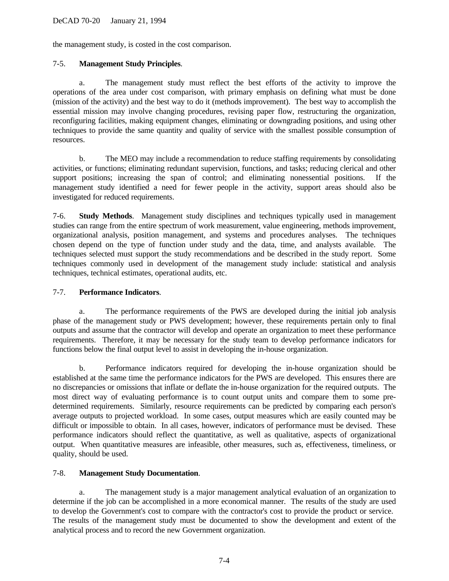the management study, is costed in the cost comparison.

# 7-5. **Management Study Principles**.

a. The management study must reflect the best efforts of the activity to improve the operations of the area under cost comparison, with primary emphasis on defining what must be done (mission of the activity) and the best way to do it (methods improvement). The best way to accomplish the essential mission may involve changing procedures, revising paper flow, restructuring the organization, reconfiguring facilities, making equipment changes, eliminating or downgrading positions, and using other techniques to provide the same quantity and quality of service with the smallest possible consumption of resources.

b. The MEO may include a recommendation to reduce staffing requirements by consolidating activities, or functions; eliminating redundant supervision, functions, and tasks; reducing clerical and other support positions; increasing the span of control; and eliminating nonessential positions. If the management study identified a need for fewer people in the activity, support areas should also be investigated for reduced requirements.

7-6. **Study Methods**. Management study disciplines and techniques typically used in management studies can range from the entire spectrum of work measurement, value engineering, methods improvement, organizational analysis, position management, and systems and procedures analyses. The techniques chosen depend on the type of function under study and the data, time, and analysts available. The techniques selected must support the study recommendations and be described in the study report. Some techniques commonly used in development of the management study include: statistical and analysis techniques, technical estimates, operational audits, etc.

# 7-7. **Performance Indicators**.

a. The performance requirements of the PWS are developed during the initial job analysis phase of the management study or PWS development; however, these requirements pertain only to final outputs and assume that the contractor will develop and operate an organization to meet these performance requirements. Therefore, it may be necessary for the study team to develop performance indicators for functions below the final output level to assist in developing the in-house organization.

b. Performance indicators required for developing the in-house organization should be established at the same time the performance indicators for the PWS are developed. This ensures there are no discrepancies or omissions that inflate or deflate the in-house organization for the required outputs. The most direct way of evaluating performance is to count output units and compare them to some predetermined requirements. Similarly, resource requirements can be predicted by comparing each person's average outputs to projected workload. In some cases, output measures which are easily counted may be difficult or impossible to obtain. In all cases, however, indicators of performance must be devised. These performance indicators should reflect the quantitative, as well as qualitative, aspects of organizational output. When quantitative measures are infeasible, other measures, such as, effectiveness, timeliness, or quality, should be used.

# 7-8. **Management Study Documentation**.

a. The management study is a major management analytical evaluation of an organization to determine if the job can be accomplished in a more economical manner. The results of the study are used to develop the Government's cost to compare with the contractor's cost to provide the product or service. The results of the management study must be documented to show the development and extent of the analytical process and to record the new Government organization.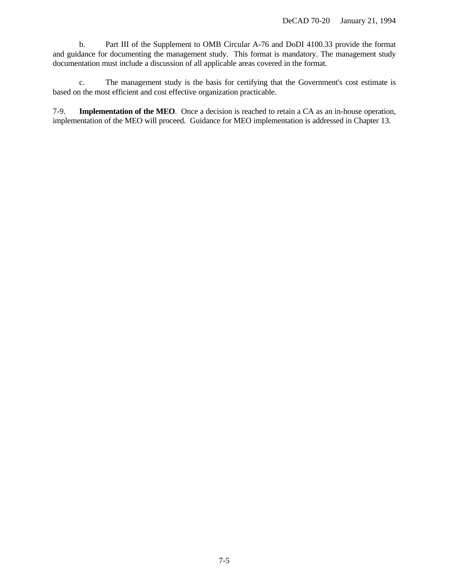b. Part III of the Supplement to OMB Circular A-76 and DoDI 4100.33 provide the format and guidance for documenting the management study. This format is mandatory. The management study documentation must include a discussion of all applicable areas covered in the format.

c. The management study is the basis for certifying that the Government's cost estimate is based on the most efficient and cost effective organization practicable.

7-9. **Implementation of the MEO**. Once a decision is reached to retain a CA as an in-house operation, implementation of the MEO will proceed. Guidance for MEO implementation is addressed in Chapter 13.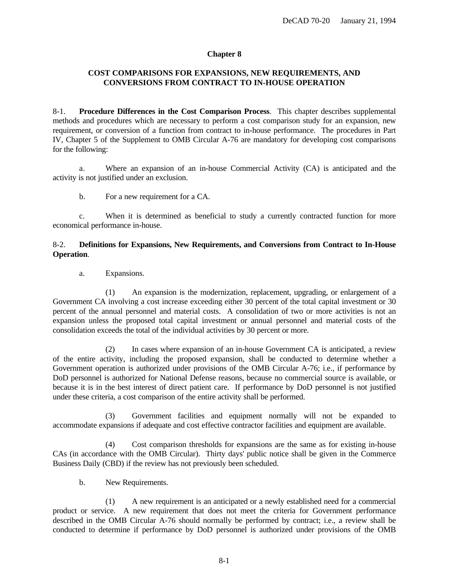# <span id="page-30-0"></span>**COST COMPARISONS FOR EXPANSIONS, NEW REQUIREMENTS, AND CONVERSIONS FROM CONTRACT TO IN-HOUSE OPERATION**

8-1. **Procedure Differences in the Cost Comparison Process**. This chapter describes supplemental methods and procedures which are necessary to perform a cost comparison study for an expansion, new requirement, or conversion of a function from contract to in-house performance. The procedures in Part IV, Chapter 5 of the Supplement to OMB Circular A-76 are mandatory for developing cost comparisons for the following:

a. Where an expansion of an in-house Commercial Activity (CA) is anticipated and the activity is not justified under an exclusion.

b. For a new requirement for a CA.

c. When it is determined as beneficial to study a currently contracted function for more economical performance in-house.

# 8-2. **Definitions for Expansions, New Requirements, and Conversions from Contract to In-House Operation**.

a. Expansions.

(1) An expansion is the modernization, replacement, upgrading, or enlargement of a Government CA involving a cost increase exceeding either 30 percent of the total capital investment or 30 percent of the annual personnel and material costs. A consolidation of two or more activities is not an expansion unless the proposed total capital investment or annual personnel and material costs of the consolidation exceeds the total of the individual activities by 30 percent or more.

(2) In cases where expansion of an in-house Government CA is anticipated, a review of the entire activity, including the proposed expansion, shall be conducted to determine whether a Government operation is authorized under provisions of the OMB Circular A-76; i.e., if performance by DoD personnel is authorized for National Defense reasons, because no commercial source is available, or because it is in the best interest of direct patient care. If performance by DoD personnel is not justified under these criteria, a cost comparison of the entire activity shall be performed.

Government facilities and equipment normally will not be expanded to accommodate expansions if adequate and cost effective contractor facilities and equipment are available.

(4) Cost comparison thresholds for expansions are the same as for existing in-house CAs (in accordance with the OMB Circular). Thirty days' public notice shall be given in the Commerce Business Daily (CBD) if the review has not previously been scheduled.

b. New Requirements.

(1) A new requirement is an anticipated or a newly established need for a commercial product or service. A new requirement that does not meet the criteria for Government performance described in the OMB Circular A-76 should normally be performed by contract; i.e., a review shall be conducted to determine if performance by DoD personnel is authorized under provisions of the OMB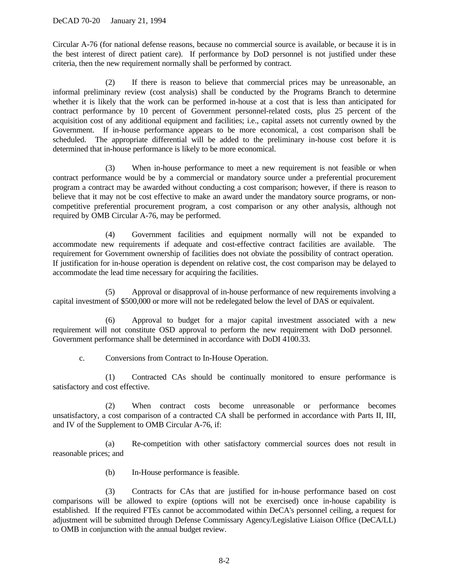Circular A-76 (for national defense reasons, because no commercial source is available, or because it is in the best interest of direct patient care). If performance by DoD personnel is not justified under these criteria, then the new requirement normally shall be performed by contract.

(2) If there is reason to believe that commercial prices may be unreasonable, an informal preliminary review (cost analysis) shall be conducted by the Programs Branch to determine whether it is likely that the work can be performed in-house at a cost that is less than anticipated for contract performance by 10 percent of Government personnel-related costs, plus 25 percent of the acquisition cost of any additional equipment and facilities; i.e., capital assets not currently owned by the Government. If in-house performance appears to be more economical, a cost comparison shall be scheduled. The appropriate differential will be added to the preliminary in-house cost before it is determined that in-house performance is likely to be more economical.

(3) When in-house performance to meet a new requirement is not feasible or when contract performance would be by a commercial or mandatory source under a preferential procurement program a contract may be awarded without conducting a cost comparison; however, if there is reason to believe that it may not be cost effective to make an award under the mandatory source programs, or noncompetitive preferential procurement program, a cost comparison or any other analysis, although not required by OMB Circular A-76, may be performed.

(4) Government facilities and equipment normally will not be expanded to accommodate new requirements if adequate and cost-effective contract facilities are available. The requirement for Government ownership of facilities does not obviate the possibility of contract operation. If justification for in-house operation is dependent on relative cost, the cost comparison may be delayed to accommodate the lead time necessary for acquiring the facilities.

(5) Approval or disapproval of in-house performance of new requirements involving a capital investment of \$500,000 or more will not be redelegated below the level of DAS or equivalent.

(6) Approval to budget for a major capital investment associated with a new requirement will not constitute OSD approval to perform the new requirement with DoD personnel. Government performance shall be determined in accordance with DoDI 4100.33.

c. Conversions from Contract to In-House Operation.

(1) Contracted CAs should be continually monitored to ensure performance is satisfactory and cost effective.

(2) When contract costs become unreasonable or performance becomes unsatisfactory, a cost comparison of a contracted CA shall be performed in accordance with Parts II, III, and IV of the Supplement to OMB Circular A-76, if:

(a) Re-competition with other satisfactory commercial sources does not result in reasonable prices; and

(b) In-House performance is feasible.

(3) Contracts for CAs that are justified for in-house performance based on cost comparisons will be allowed to expire (options will not be exercised) once in-house capability is established. If the required FTEs cannot be accommodated within DeCA's personnel ceiling, a request for adjustment will be submitted through Defense Commissary Agency/Legislative Liaison Office (DeCA/LL) to OMB in conjunction with the annual budget review.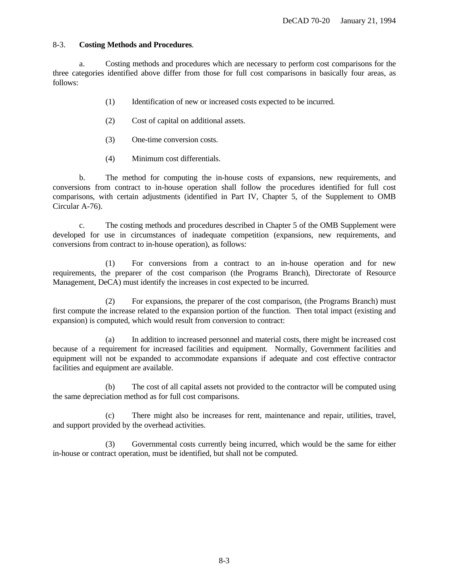# 8-3. **Costing Methods and Procedures**.

a. Costing methods and procedures which are necessary to perform cost comparisons for the three categories identified above differ from those for full cost comparisons in basically four areas, as follows:

- (1) Identification of new or increased costs expected to be incurred.
- (2) Cost of capital on additional assets.
- (3) One-time conversion costs.
- (4) Minimum cost differentials.

b. The method for computing the in-house costs of expansions, new requirements, and conversions from contract to in-house operation shall follow the procedures identified for full cost comparisons, with certain adjustments (identified in Part IV, Chapter 5, of the Supplement to OMB Circular A-76).

c. The costing methods and procedures described in Chapter 5 of the OMB Supplement were developed for use in circumstances of inadequate competition (expansions, new requirements, and conversions from contract to in-house operation), as follows:

(1) For conversions from a contract to an in-house operation and for new requirements, the preparer of the cost comparison (the Programs Branch), Directorate of Resource Management, DeCA) must identify the increases in cost expected to be incurred.

(2) For expansions, the preparer of the cost comparison, (the Programs Branch) must first compute the increase related to the expansion portion of the function. Then total impact (existing and expansion) is computed, which would result from conversion to contract:

(a) In addition to increased personnel and material costs, there might be increased cost because of a requirement for increased facilities and equipment. Normally, Government facilities and equipment will not be expanded to accommodate expansions if adequate and cost effective contractor facilities and equipment are available.

(b) The cost of all capital assets not provided to the contractor will be computed using the same depreciation method as for full cost comparisons.

(c) There might also be increases for rent, maintenance and repair, utilities, travel, and support provided by the overhead activities.

(3) Governmental costs currently being incurred, which would be the same for either in-house or contract operation, must be identified, but shall not be computed.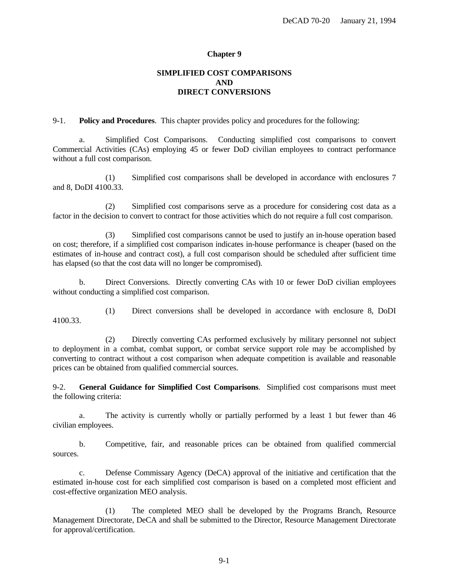# **SIMPLIFIED COST COMPARISONS AND DIRECT CONVERSIONS**

<span id="page-33-0"></span>9-1. **Policy and Procedures**. This chapter provides policy and procedures for the following:

a. Simplified Cost Comparisons. Conducting simplified cost comparisons to convert Commercial Activities (CAs) employing 45 or fewer DoD civilian employees to contract performance without a full cost comparison.

(1) Simplified cost comparisons shall be developed in accordance with enclosures 7 and 8, DoDI 4100.33.

(2) Simplified cost comparisons serve as a procedure for considering cost data as a factor in the decision to convert to contract for those activities which do not require a full cost comparison.

(3) Simplified cost comparisons cannot be used to justify an in-house operation based on cost; therefore, if a simplified cost comparison indicates in-house performance is cheaper (based on the estimates of in-house and contract cost), a full cost comparison should be scheduled after sufficient time has elapsed (so that the cost data will no longer be compromised).

b. Direct Conversions. Directly converting CAs with 10 or fewer DoD civilian employees without conducting a simplified cost comparison.

(1) Direct conversions shall be developed in accordance with enclosure 8, DoDI 4100.33.

(2) Directly converting CAs performed exclusively by military personnel not subject to deployment in a combat, combat support, or combat service support role may be accomplished by converting to contract without a cost comparison when adequate competition is available and reasonable prices can be obtained from qualified commercial sources.

9-2. **General Guidance for Simplified Cost Comparisons**. Simplified cost comparisons must meet the following criteria:

a. The activity is currently wholly or partially performed by a least 1 but fewer than 46 civilian employees.

b. Competitive, fair, and reasonable prices can be obtained from qualified commercial sources.

c. Defense Commissary Agency (DeCA) approval of the initiative and certification that the estimated in-house cost for each simplified cost comparison is based on a completed most efficient and cost-effective organization MEO analysis.

(1) The completed MEO shall be developed by the Programs Branch, Resource Management Directorate, DeCA and shall be submitted to the Director, Resource Management Directorate for approval/certification.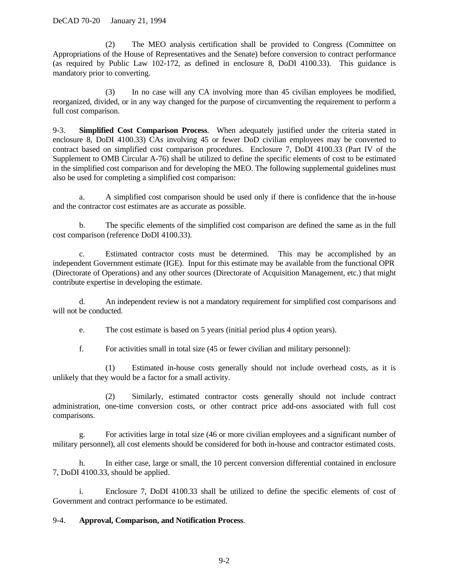(2) The MEO analysis certification shall be provided to Congress (Committee on Appropriations of the House of Representatives and the Senate) before conversion to contract performance (as required by Public Law 102-172, as defined in enclosure 8, DoDI 4100.33). This guidance is mandatory prior to converting.

(3) In no case will any CA involving more than 45 civilian employees be modified, reorganized, divided, or in any way changed for the purpose of circumventing the requirement to perform a full cost comparison.

9-3. **Simplified Cost Comparison Process**. When adequately justified under the criteria stated in enclosure 8, DoDI 4100.33) CAs involving 45 or fewer DoD civilian employees may be converted to contract based on simplified cost comparison procedures. Enclosure 7, DoDI 4100.33 (Part IV of the Supplement to OMB Circular A-76) shall be utilized to define the specific elements of cost to be estimated in the simplified cost comparison and for developing the MEO. The following supplemental guidelines must also be used for completing a simplified cost comparison:

a. A simplified cost comparison should be used only if there is confidence that the in-house and the contractor cost estimates are as accurate as possible.

b. The specific elements of the simplified cost comparison are defined the same as in the full cost comparison (reference DoDI 4100.33).

c. Estimated contractor costs must be determined. This may be accomplished by an independent Government estimate (IGE). Input for this estimate may be available from the functional OPR (Directorate of Operations) and any other sources (Directorate of Acquisition Management, etc.) that might contribute expertise in developing the estimate.

d. An independent review is not a mandatory requirement for simplified cost comparisons and will not be conducted.

e. The cost estimate is based on 5 years (initial period plus 4 option years).

f. For activities small in total size (45 or fewer civilian and military personnel):

(1) Estimated in-house costs generally should not include overhead costs, as it is unlikely that they would be a factor for a small activity.

(2) Similarly, estimated contractor costs generally should not include contract administration, one-time conversion costs, or other contract price add-ons associated with full cost comparisons.

g. For activities large in total size (46 or more civilian employees and a significant number of military personnel), all cost elements should be considered for both in-house and contractor estimated costs.

h. In either case, large or small, the 10 percent conversion differential contained in enclosure 7, DoDI 4100.33, should be applied.

i. Enclosure 7, DoDI 4100.33 shall be utilized to define the specific elements of cost of Government and contract performance to be estimated.

# 9-4. **Approval, Comparison, and Notification Process**.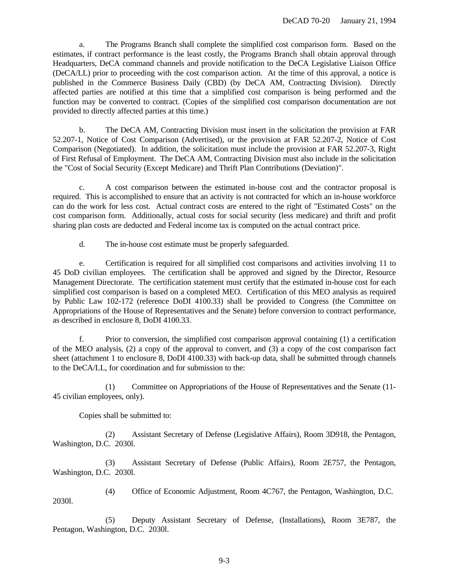a. The Programs Branch shall complete the simplified cost comparison form. Based on the estimates, if contract performance is the least costly, the Programs Branch shall obtain approval through Headquarters, DeCA command channels and provide notification to the DeCA Legislative Liaison Office (DeCA/LL) prior to proceeding with the cost comparison action. At the time of this approval, a notice is published in the Commerce Business Daily (CBD) (by DeCA AM, Contracting Division). Directly affected parties are notified at this time that a simplified cost comparison is being performed and the function may be converted to contract. (Copies of the simplified cost comparison documentation are not provided to directly affected parties at this time.)

b. The DeCA AM, Contracting Division must insert in the solicitation the provision at FAR 52.207-1, Notice of Cost Comparison (Advertised), or the provision at FAR 52.207-2, Notice of Cost Comparison (Negotiated). In addition, the solicitation must include the provision at FAR 52.207-3, Right of First Refusal of Employment. The DeCA AM, Contracting Division must also include in the solicitation the "Cost of Social Security (Except Medicare) and Thrift Plan Contributions (Deviation)".

c. A cost comparison between the estimated in-house cost and the contractor proposal is required. This is accomplished to ensure that an activity is not contracted for which an in-house workforce can do the work for less cost. Actual contract costs are entered to the right of "Estimated Costs" on the cost comparison form. Additionally, actual costs for social security (less medicare) and thrift and profit sharing plan costs are deducted and Federal income tax is computed on the actual contract price.

d. The in-house cost estimate must be properly safeguarded.

e. Certification is required for all simplified cost comparisons and activities involving 11 to 45 DoD civilian employees. The certification shall be approved and signed by the Director, Resource Management Directorate. The certification statement must certify that the estimated in-house cost for each simplified cost comparison is based on a completed MEO. Certification of this MEO analysis as required by Public Law 102-172 (reference DoDI 4100.33) shall be provided to Congress (the Committee on Appropriations of the House of Representatives and the Senate) before conversion to contract performance, as described in enclosure 8, DoDI 4100.33.

f. Prior to conversion, the simplified cost comparison approval containing (1) a certification of the MEO analysis, (2) a copy of the approval to convert, and (3) a copy of the cost comparison fact sheet (attachment 1 to enclosure 8, DoDI 4100.33) with back-up data, shall be submitted through channels to the DeCA/LL, for coordination and for submission to the:

(1) Committee on Appropriations of the House of Representatives and the Senate (11- 45 civilian employees, only).

Copies shall be submitted to:

2030l.

(2) Assistant Secretary of Defense (Legislative Affairs), Room 3D918, the Pentagon, Washington, D.C. 2030l.

(3) Assistant Secretary of Defense (Public Affairs), Room 2E757, the Pentagon, Washington, D.C. 2030l.

(4) Office of Economic Adjustment, Room 4C767, the Pentagon, Washington, D.C.

(5) Deputy Assistant Secretary of Defense, (Installations), Room 3E787, the Pentagon, Washington, D.C. 2030l.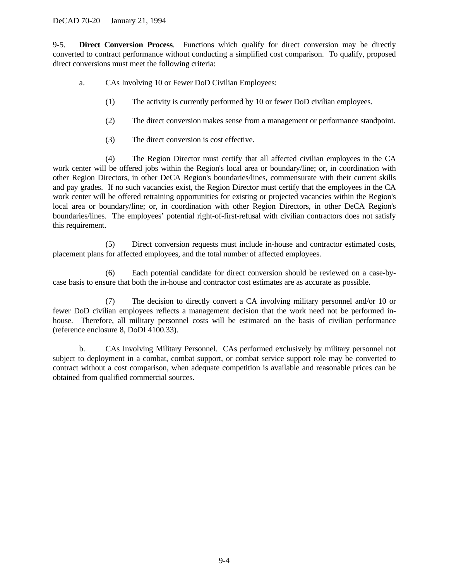9-5. **Direct Conversion Process**. Functions which qualify for direct conversion may be directly converted to contract performance without conducting a simplified cost comparison. To qualify, proposed direct conversions must meet the following criteria:

- a. CAs Involving 10 or Fewer DoD Civilian Employees:
	- (1) The activity is currently performed by 10 or fewer DoD civilian employees.
	- (2) The direct conversion makes sense from a management or performance standpoint.
	- (3) The direct conversion is cost effective.

(4) The Region Director must certify that all affected civilian employees in the CA work center will be offered jobs within the Region's local area or boundary/line; or, in coordination with other Region Directors, in other DeCA Region's boundaries/lines, commensurate with their current skills and pay grades. If no such vacancies exist, the Region Director must certify that the employees in the CA work center will be offered retraining opportunities for existing or projected vacancies within the Region's local area or boundary/line; or, in coordination with other Region Directors, in other DeCA Region's boundaries/lines. The employees' potential right-of-first-refusal with civilian contractors does not satisfy this requirement.

(5) Direct conversion requests must include in-house and contractor estimated costs, placement plans for affected employees, and the total number of affected employees.

(6) Each potential candidate for direct conversion should be reviewed on a case-bycase basis to ensure that both the in-house and contractor cost estimates are as accurate as possible.

(7) The decision to directly convert a CA involving military personnel and/or 10 or fewer DoD civilian employees reflects a management decision that the work need not be performed inhouse. Therefore, all military personnel costs will be estimated on the basis of civilian performance (reference enclosure 8, DoDI 4100.33).

b. CAs Involving Military Personnel. CAs performed exclusively by military personnel not subject to deployment in a combat, combat support, or combat service support role may be converted to contract without a cost comparison, when adequate competition is available and reasonable prices can be obtained from qualified commercial sources.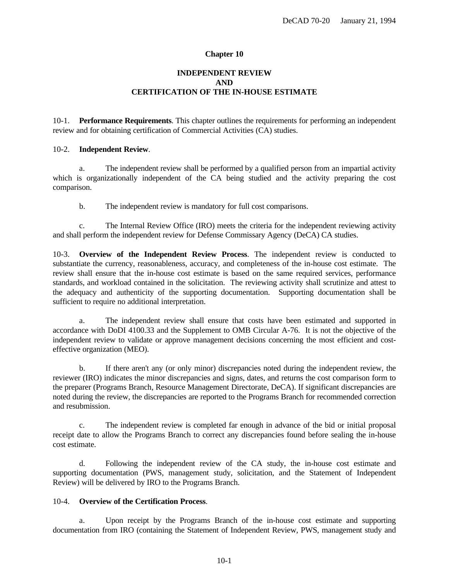## **Chapter 10**

# **INDEPENDENT REVIEW AND CERTIFICATION OF THE IN-HOUSE ESTIMATE**

10-1. **Performance Requirements**. This chapter outlines the requirements for performing an independent review and for obtaining certification of Commercial Activities (CA) studies.

### 10-2. **Independent Review**.

a. The independent review shall be performed by a qualified person from an impartial activity which is organizationally independent of the CA being studied and the activity preparing the cost comparison.

b. The independent review is mandatory for full cost comparisons.

c. The Internal Review Office (IRO) meets the criteria for the independent reviewing activity and shall perform the independent review for Defense Commissary Agency (DeCA) CA studies.

10-3. **Overview of the Independent Review Process**. The independent review is conducted to substantiate the currency, reasonableness, accuracy, and completeness of the in-house cost estimate. The review shall ensure that the in-house cost estimate is based on the same required services, performance standards, and workload contained in the solicitation. The reviewing activity shall scrutinize and attest to the adequacy and authenticity of the supporting documentation. Supporting documentation shall be sufficient to require no additional interpretation.

a. The independent review shall ensure that costs have been estimated and supported in accordance with DoDI 4100.33 and the Supplement to OMB Circular A-76. It is not the objective of the independent review to validate or approve management decisions concerning the most efficient and costeffective organization (MEO).

b. If there aren't any (or only minor) discrepancies noted during the independent review, the reviewer (IRO) indicates the minor discrepancies and signs, dates, and returns the cost comparison form to the preparer (Programs Branch, Resource Management Directorate, DeCA). If significant discrepancies are noted during the review, the discrepancies are reported to the Programs Branch for recommended correction and resubmission.

c. The independent review is completed far enough in advance of the bid or initial proposal receipt date to allow the Programs Branch to correct any discrepancies found before sealing the in-house cost estimate.

d. Following the independent review of the CA study, the in-house cost estimate and supporting documentation (PWS, management study, solicitation, and the Statement of Independent Review) will be delivered by IRO to the Programs Branch.

### 10-4. **Overview of the Certification Process**.

a. Upon receipt by the Programs Branch of the in-house cost estimate and supporting documentation from IRO (containing the Statement of Independent Review, PWS, management study and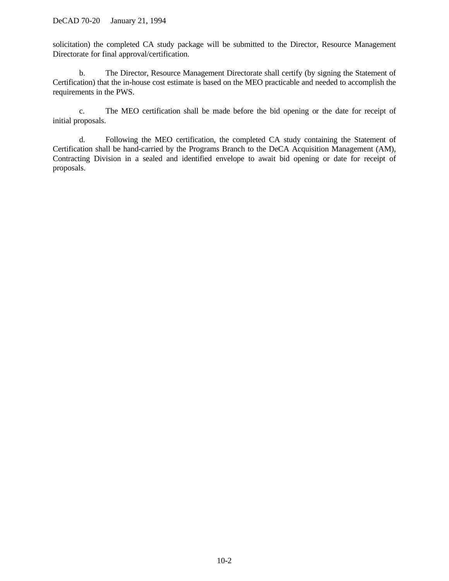solicitation) the completed CA study package will be submitted to the Director, Resource Management Directorate for final approval/certification.

b. The Director, Resource Management Directorate shall certify (by signing the Statement of Certification) that the in-house cost estimate is based on the MEO practicable and needed to accomplish the requirements in the PWS.

c. The MEO certification shall be made before the bid opening or the date for receipt of initial proposals.

d. Following the MEO certification, the completed CA study containing the Statement of Certification shall be hand-carried by the Programs Branch to the DeCA Acquisition Management (AM), Contracting Division in a sealed and identified envelope to await bid opening or date for receipt of proposals.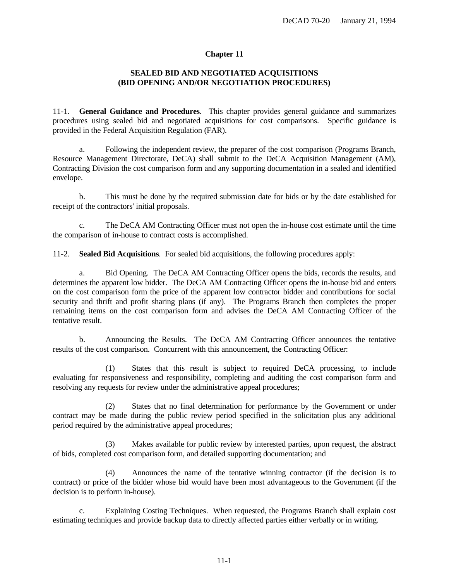### **Chapter 11**

## **SEALED BID AND NEGOTIATED ACQUISITIONS (BID OPENING AND/OR NEGOTIATION PROCEDURES)**

11-1. **General Guidance and Procedures**. This chapter provides general guidance and summarizes procedures using sealed bid and negotiated acquisitions for cost comparisons. Specific guidance is provided in the Federal Acquisition Regulation (FAR).

a. Following the independent review, the preparer of the cost comparison (Programs Branch, Resource Management Directorate, DeCA) shall submit to the DeCA Acquisition Management (AM), Contracting Division the cost comparison form and any supporting documentation in a sealed and identified envelope.

b. This must be done by the required submission date for bids or by the date established for receipt of the contractors' initial proposals.

c. The DeCA AM Contracting Officer must not open the in-house cost estimate until the time the comparison of in-house to contract costs is accomplished.

11-2. **Sealed Bid Acquisitions**. For sealed bid acquisitions, the following procedures apply:

a. Bid Opening. The DeCA AM Contracting Officer opens the bids, records the results, and determines the apparent low bidder. The DeCA AM Contracting Officer opens the in-house bid and enters on the cost comparison form the price of the apparent low contractor bidder and contributions for social security and thrift and profit sharing plans (if any). The Programs Branch then completes the proper remaining items on the cost comparison form and advises the DeCA AM Contracting Officer of the tentative result.

b. Announcing the Results. The DeCA AM Contracting Officer announces the tentative results of the cost comparison. Concurrent with this announcement, the Contracting Officer:

(1) States that this result is subject to required DeCA processing, to include evaluating for responsiveness and responsibility, completing and auditing the cost comparison form and resolving any requests for review under the administrative appeal procedures;

(2) States that no final determination for performance by the Government or under contract may be made during the public review period specified in the solicitation plus any additional period required by the administrative appeal procedures;

(3) Makes available for public review by interested parties, upon request, the abstract of bids, completed cost comparison form, and detailed supporting documentation; and

(4) Announces the name of the tentative winning contractor (if the decision is to contract) or price of the bidder whose bid would have been most advantageous to the Government (if the decision is to perform in-house).

c. Explaining Costing Techniques. When requested, the Programs Branch shall explain cost estimating techniques and provide backup data to directly affected parties either verbally or in writing.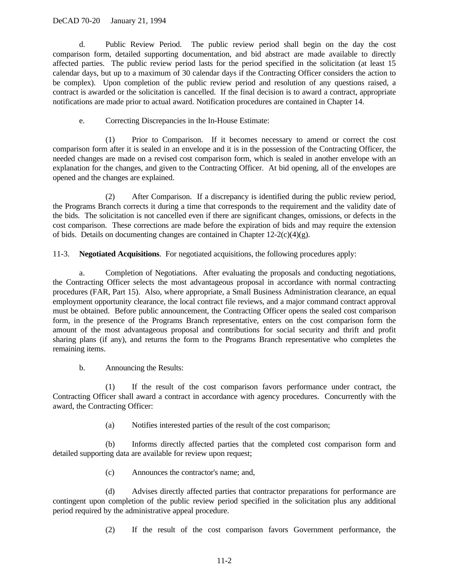### DeCAD 70-20 January 21, 1994

d. Public Review Period. The public review period shall begin on the day the cost comparison form, detailed supporting documentation, and bid abstract are made available to directly affected parties. The public review period lasts for the period specified in the solicitation (at least 15 calendar days, but up to a maximum of 30 calendar days if the Contracting Officer considers the action to be complex). Upon completion of the public review period and resolution of any questions raised, a contract is awarded or the solicitation is cancelled. If the final decision is to award a contract, appropriate notifications are made prior to actual award. Notification procedures are contained in Chapter 14.

e. Correcting Discrepancies in the In-House Estimate:

(1) Prior to Comparison. If it becomes necessary to amend or correct the cost comparison form after it is sealed in an envelope and it is in the possession of the Contracting Officer, the needed changes are made on a revised cost comparison form, which is sealed in another envelope with an explanation for the changes, and given to the Contracting Officer. At bid opening, all of the envelopes are opened and the changes are explained.

(2) After Comparison. If a discrepancy is identified during the public review period, the Programs Branch corrects it during a time that corresponds to the requirement and the validity date of the bids. The solicitation is not cancelled even if there are significant changes, omissions, or defects in the cost comparison. These corrections are made before the expiration of bids and may require the extension of bids. Details on documenting changes are contained in Chapter  $12-2(c)(4)(g)$ .

11-3. **Negotiated Acquisitions**. For negotiated acquisitions, the following procedures apply:

a. Completion of Negotiations. After evaluating the proposals and conducting negotiations, the Contracting Officer selects the most advantageous proposal in accordance with normal contracting procedures (FAR, Part 15). Also, where appropriate, a Small Business Administration clearance, an equal employment opportunity clearance, the local contract file reviews, and a major command contract approval must be obtained. Before public announcement, the Contracting Officer opens the sealed cost comparison form, in the presence of the Programs Branch representative, enters on the cost comparison form the amount of the most advantageous proposal and contributions for social security and thrift and profit sharing plans (if any), and returns the form to the Programs Branch representative who completes the remaining items.

b. Announcing the Results:

(1) If the result of the cost comparison favors performance under contract, the Contracting Officer shall award a contract in accordance with agency procedures. Concurrently with the award, the Contracting Officer:

(a) Notifies interested parties of the result of the cost comparison;

(b) Informs directly affected parties that the completed cost comparison form and detailed supporting data are available for review upon request;

(c) Announces the contractor's name; and,

(d) Advises directly affected parties that contractor preparations for performance are contingent upon completion of the public review period specified in the solicitation plus any additional period required by the administrative appeal procedure.

(2) If the result of the cost comparison favors Government performance, the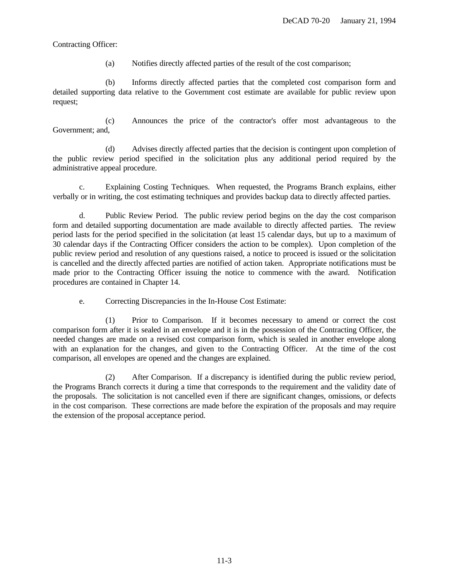Contracting Officer:

(a) Notifies directly affected parties of the result of the cost comparison;

(b) Informs directly affected parties that the completed cost comparison form and detailed supporting data relative to the Government cost estimate are available for public review upon request;

(c) Announces the price of the contractor's offer most advantageous to the Government; and,

(d) Advises directly affected parties that the decision is contingent upon completion of the public review period specified in the solicitation plus any additional period required by the administrative appeal procedure.

c. Explaining Costing Techniques. When requested, the Programs Branch explains, either verbally or in writing, the cost estimating techniques and provides backup data to directly affected parties.

d. Public Review Period. The public review period begins on the day the cost comparison form and detailed supporting documentation are made available to directly affected parties. The review period lasts for the period specified in the solicitation (at least 15 calendar days, but up to a maximum of 30 calendar days if the Contracting Officer considers the action to be complex). Upon completion of the public review period and resolution of any questions raised, a notice to proceed is issued or the solicitation is cancelled and the directly affected parties are notified of action taken. Appropriate notifications must be made prior to the Contracting Officer issuing the notice to commence with the award. Notification procedures are contained in Chapter 14.

e. Correcting Discrepancies in the In-House Cost Estimate:

(1) Prior to Comparison. If it becomes necessary to amend or correct the cost comparison form after it is sealed in an envelope and it is in the possession of the Contracting Officer, the needed changes are made on a revised cost comparison form, which is sealed in another envelope along with an explanation for the changes, and given to the Contracting Officer. At the time of the cost comparison, all envelopes are opened and the changes are explained.

(2) After Comparison. If a discrepancy is identified during the public review period, the Programs Branch corrects it during a time that corresponds to the requirement and the validity date of the proposals. The solicitation is not cancelled even if there are significant changes, omissions, or defects in the cost comparison. These corrections are made before the expiration of the proposals and may require the extension of the proposal acceptance period.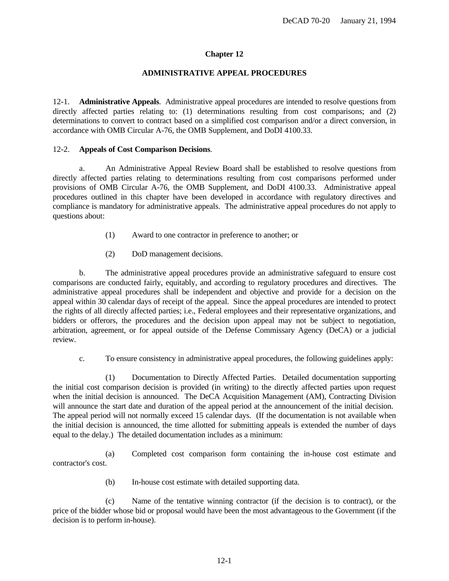## **Chapter 12**

#### **ADMINISTRATIVE APPEAL PROCEDURES**

12-1. **Administrative Appeals**. Administrative appeal procedures are intended to resolve questions from directly affected parties relating to: (1) determinations resulting from cost comparisons; and (2) determinations to convert to contract based on a simplified cost comparison and/or a direct conversion, in accordance with OMB Circular A-76, the OMB Supplement, and DoDI 4100.33.

### 12-2. **Appeals of Cost Comparison Decisions**.

a. An Administrative Appeal Review Board shall be established to resolve questions from directly affected parties relating to determinations resulting from cost comparisons performed under provisions of OMB Circular A-76, the OMB Supplement, and DoDI 4100.33. Administrative appeal procedures outlined in this chapter have been developed in accordance with regulatory directives and compliance is mandatory for administrative appeals. The administrative appeal procedures do not apply to questions about:

- (1) Award to one contractor in preference to another; or
- (2) DoD management decisions.

b. The administrative appeal procedures provide an administrative safeguard to ensure cost comparisons are conducted fairly, equitably, and according to regulatory procedures and directives. The administrative appeal procedures shall be independent and objective and provide for a decision on the appeal within 30 calendar days of receipt of the appeal. Since the appeal procedures are intended to protect the rights of all directly affected parties; i.e., Federal employees and their representative organizations, and bidders or offerors, the procedures and the decision upon appeal may not be subject to negotiation, arbitration, agreement, or for appeal outside of the Defense Commissary Agency (DeCA) or a judicial review.

c. To ensure consistency in administrative appeal procedures, the following guidelines apply:

(1) Documentation to Directly Affected Parties. Detailed documentation supporting the initial cost comparison decision is provided (in writing) to the directly affected parties upon request when the initial decision is announced. The DeCA Acquisition Management (AM), Contracting Division will announce the start date and duration of the appeal period at the announcement of the initial decision. The appeal period will not normally exceed 15 calendar days. (If the documentation is not available when the initial decision is announced, the time allotted for submitting appeals is extended the number of days equal to the delay.) The detailed documentation includes as a minimum:

(a) Completed cost comparison form containing the in-house cost estimate and contractor's cost.

(b) In-house cost estimate with detailed supporting data.

(c) Name of the tentative winning contractor (if the decision is to contract), or the price of the bidder whose bid or proposal would have been the most advantageous to the Government (if the decision is to perform in-house).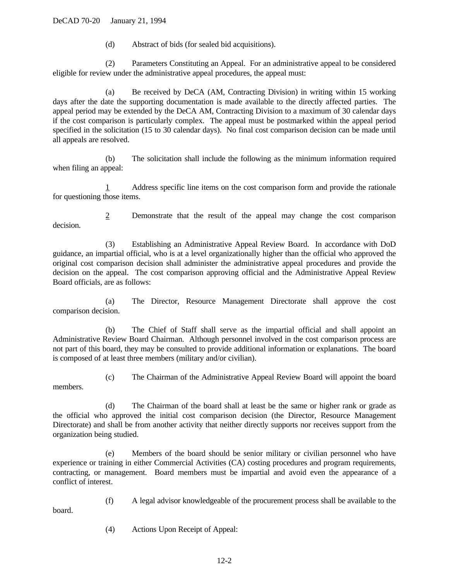(d) Abstract of bids (for sealed bid acquisitions).

(2) Parameters Constituting an Appeal. For an administrative appeal to be considered eligible for review under the administrative appeal procedures, the appeal must:

(a) Be received by DeCA (AM, Contracting Division) in writing within 15 working days after the date the supporting documentation is made available to the directly affected parties. The appeal period may be extended by the DeCA AM, Contracting Division to a maximum of 30 calendar days if the cost comparison is particularly complex. The appeal must be postmarked within the appeal period specified in the solicitation (15 to 30 calendar days). No final cost comparison decision can be made until all appeals are resolved.

(b) The solicitation shall include the following as the minimum information required when filing an appeal:

1 Address specific line items on the cost comparison form and provide the rationale for questioning those items.

2 Demonstrate that the result of the appeal may change the cost comparison decision.

(3) Establishing an Administrative Appeal Review Board. In accordance with DoD guidance, an impartial official, who is at a level organizationally higher than the official who approved the original cost comparison decision shall administer the administrative appeal procedures and provide the decision on the appeal. The cost comparison approving official and the Administrative Appeal Review Board officials, are as follows:

(a) The Director, Resource Management Directorate shall approve the cost comparison decision.

(b) The Chief of Staff shall serve as the impartial official and shall appoint an Administrative Review Board Chairman. Although personnel involved in the cost comparison process are not part of this board, they may be consulted to provide additional information or explanations. The board is composed of at least three members (military and/or civilian).

members.

board.

(c) The Chairman of the Administrative Appeal Review Board will appoint the board

(d) The Chairman of the board shall at least be the same or higher rank or grade as the official who approved the initial cost comparison decision (the Director, Resource Management Directorate) and shall be from another activity that neither directly supports nor receives support from the organization being studied.

(e) Members of the board should be senior military or civilian personnel who have experience or training in either Commercial Activities (CA) costing procedures and program requirements, contracting, or management. Board members must be impartial and avoid even the appearance of a conflict of interest.

(f) A legal advisor knowledgeable of the procurement process shall be available to the

(4) Actions Upon Receipt of Appeal: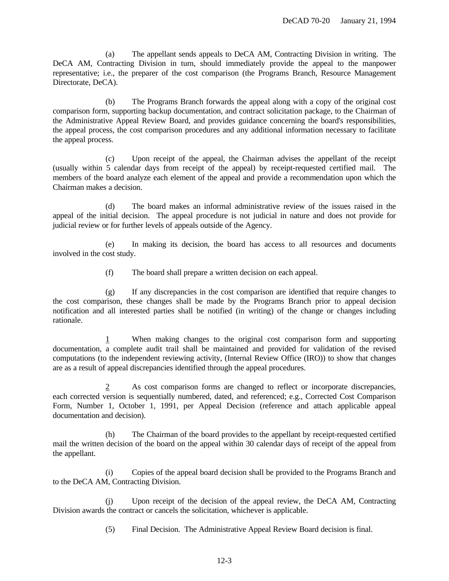(a) The appellant sends appeals to DeCA AM, Contracting Division in writing. The DeCA AM, Contracting Division in turn, should immediately provide the appeal to the manpower representative; i.e., the preparer of the cost comparison (the Programs Branch, Resource Management Directorate, DeCA).

(b) The Programs Branch forwards the appeal along with a copy of the original cost comparison form, supporting backup documentation, and contract solicitation package, to the Chairman of the Administrative Appeal Review Board, and provides guidance concerning the board's responsibilities, the appeal process, the cost comparison procedures and any additional information necessary to facilitate the appeal process.

(c) Upon receipt of the appeal, the Chairman advises the appellant of the receipt (usually within 5 calendar days from receipt of the appeal) by receipt-requested certified mail. The members of the board analyze each element of the appeal and provide a recommendation upon which the Chairman makes a decision.

(d) The board makes an informal administrative review of the issues raised in the appeal of the initial decision. The appeal procedure is not judicial in nature and does not provide for judicial review or for further levels of appeals outside of the Agency.

(e) In making its decision, the board has access to all resources and documents involved in the cost study.

(f) The board shall prepare a written decision on each appeal.

(g) If any discrepancies in the cost comparison are identified that require changes to the cost comparison, these changes shall be made by the Programs Branch prior to appeal decision notification and all interested parties shall be notified (in writing) of the change or changes including rationale.

1 When making changes to the original cost comparison form and supporting documentation, a complete audit trail shall be maintained and provided for validation of the revised computations (to the independent reviewing activity, (Internal Review Office (IRO)) to show that changes are as a result of appeal discrepancies identified through the appeal procedures.

2 As cost comparison forms are changed to reflect or incorporate discrepancies, each corrected version is sequentially numbered, dated, and referenced; e.g., Corrected Cost Comparison Form, Number 1, October 1, 1991, per Appeal Decision (reference and attach applicable appeal documentation and decision).

(h) The Chairman of the board provides to the appellant by receipt-requested certified mail the written decision of the board on the appeal within 30 calendar days of receipt of the appeal from the appellant.

(i) Copies of the appeal board decision shall be provided to the Programs Branch and to the DeCA AM, Contracting Division.

(j) Upon receipt of the decision of the appeal review, the DeCA AM, Contracting Division awards the contract or cancels the solicitation, whichever is applicable.

(5) Final Decision. The Administrative Appeal Review Board decision is final.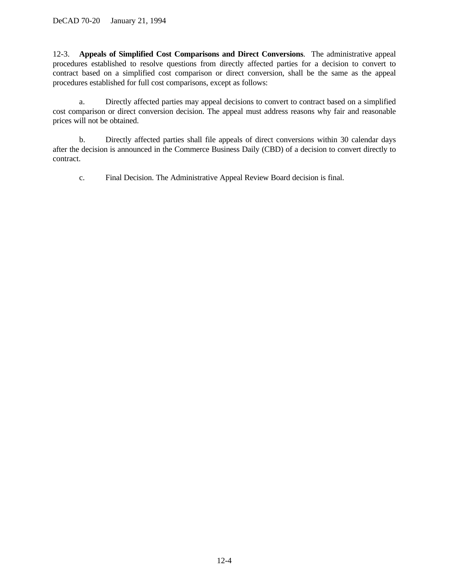12-3. **Appeals of Simplified Cost Comparisons and Direct Conversions**. The administrative appeal procedures established to resolve questions from directly affected parties for a decision to convert to contract based on a simplified cost comparison or direct conversion, shall be the same as the appeal procedures established for full cost comparisons, except as follows:

a. Directly affected parties may appeal decisions to convert to contract based on a simplified cost comparison or direct conversion decision. The appeal must address reasons why fair and reasonable prices will not be obtained.

b. Directly affected parties shall file appeals of direct conversions within 30 calendar days after the decision is announced in the Commerce Business Daily (CBD) of a decision to convert directly to contract.

c. Final Decision. The Administrative Appeal Review Board decision is final.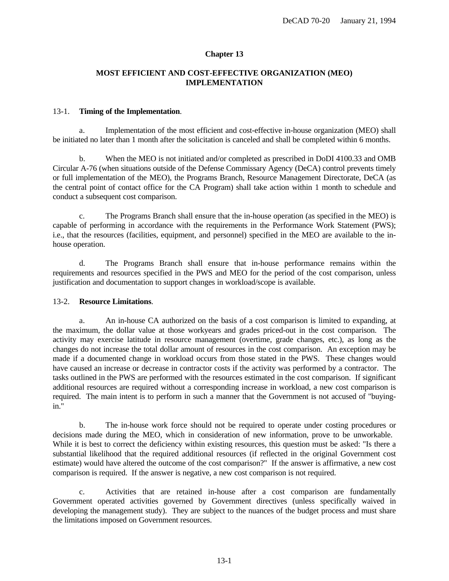## **Chapter 13**

# **MOST EFFICIENT AND COST-EFFECTIVE ORGANIZATION (MEO) IMPLEMENTATION**

### 13-1. **Timing of the Implementation**.

a. Implementation of the most efficient and cost-effective in-house organization (MEO) shall be initiated no later than 1 month after the solicitation is canceled and shall be completed within 6 months.

b. When the MEO is not initiated and/or completed as prescribed in DoDI 4100.33 and OMB Circular A-76 (when situations outside of the Defense Commissary Agency (DeCA) control prevents timely or full implementation of the MEO), the Programs Branch, Resource Management Directorate, DeCA (as the central point of contact office for the CA Program) shall take action within 1 month to schedule and conduct a subsequent cost comparison.

c. The Programs Branch shall ensure that the in-house operation (as specified in the MEO) is capable of performing in accordance with the requirements in the Performance Work Statement (PWS); i.e., that the resources (facilities, equipment, and personnel) specified in the MEO are available to the inhouse operation.

d. The Programs Branch shall ensure that in-house performance remains within the requirements and resources specified in the PWS and MEO for the period of the cost comparison, unless justification and documentation to support changes in workload/scope is available.

#### 13-2. **Resource Limitations**.

a. An in-house CA authorized on the basis of a cost comparison is limited to expanding, at the maximum, the dollar value at those workyears and grades priced-out in the cost comparison. The activity may exercise latitude in resource management (overtime, grade changes, etc.), as long as the changes do not increase the total dollar amount of resources in the cost comparison. An exception may be made if a documented change in workload occurs from those stated in the PWS. These changes would have caused an increase or decrease in contractor costs if the activity was performed by a contractor. The tasks outlined in the PWS are performed with the resources estimated in the cost comparison. If significant additional resources are required without a corresponding increase in workload, a new cost comparison is required. The main intent is to perform in such a manner that the Government is not accused of "buyingin."

b. The in-house work force should not be required to operate under costing procedures or decisions made during the MEO, which in consideration of new information, prove to be unworkable. While it is best to correct the deficiency within existing resources, this question must be asked: "Is there a substantial likelihood that the required additional resources (if reflected in the original Government cost estimate) would have altered the outcome of the cost comparison?" If the answer is affirmative, a new cost comparison is required. If the answer is negative, a new cost comparison is not required.

c. Activities that are retained in-house after a cost comparison are fundamentally Government operated activities governed by Government directives (unless specifically waived in developing the management study). They are subject to the nuances of the budget process and must share the limitations imposed on Government resources.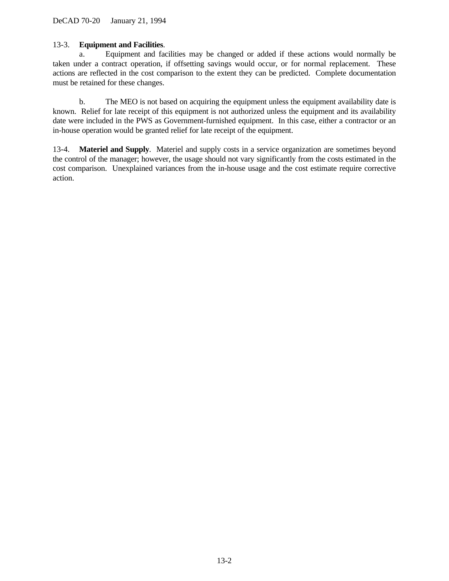## 13-3. **Equipment and Facilities**.

a. Equipment and facilities may be changed or added if these actions would normally be taken under a contract operation, if offsetting savings would occur, or for normal replacement. These actions are reflected in the cost comparison to the extent they can be predicted. Complete documentation must be retained for these changes.

b. The MEO is not based on acquiring the equipment unless the equipment availability date is known. Relief for late receipt of this equipment is not authorized unless the equipment and its availability date were included in the PWS as Government-furnished equipment. In this case, either a contractor or an in-house operation would be granted relief for late receipt of the equipment.

13-4. **Materiel and Supply**. Materiel and supply costs in a service organization are sometimes beyond the control of the manager; however, the usage should not vary significantly from the costs estimated in the cost comparison. Unexplained variances from the in-house usage and the cost estimate require corrective action.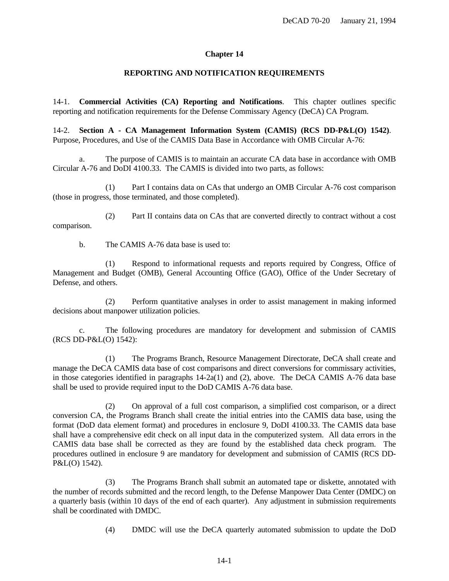### **Chapter 14**

### **REPORTING AND NOTIFICATION REQUIREMENTS**

14-1. **Commercial Activities (CA) Reporting and Notifications**. This chapter outlines specific reporting and notification requirements for the Defense Commissary Agency (DeCA) CA Program.

14-2. **Section A - CA Management Information System (CAMIS) (RCS DD-P&L(O) 1542)**. Purpose, Procedures, and Use of the CAMIS Data Base in Accordance with OMB Circular A-76:

a. The purpose of CAMIS is to maintain an accurate CA data base in accordance with OMB Circular A-76 and DoDI 4100.33. The CAMIS is divided into two parts, as follows:

(1) Part I contains data on CAs that undergo an OMB Circular A-76 cost comparison (those in progress, those terminated, and those completed).

(2) Part II contains data on CAs that are converted directly to contract without a cost comparison.

b. The CAMIS A-76 data base is used to:

(1) Respond to informational requests and reports required by Congress, Office of Management and Budget (OMB), General Accounting Office (GAO), Office of the Under Secretary of Defense, and others.

(2) Perform quantitative analyses in order to assist management in making informed decisions about manpower utilization policies.

c. The following procedures are mandatory for development and submission of CAMIS (RCS DD-P&L(O) 1542):

(1) The Programs Branch, Resource Management Directorate, DeCA shall create and manage the DeCA CAMIS data base of cost comparisons and direct conversions for commissary activities, in those categories identified in paragraphs  $14-2a(1)$  and  $(2)$ , above. The DeCA CAMIS A-76 data base shall be used to provide required input to the DoD CAMIS A-76 data base.

(2) On approval of a full cost comparison, a simplified cost comparison, or a direct conversion CA, the Programs Branch shall create the initial entries into the CAMIS data base, using the format (DoD data element format) and procedures in enclosure 9, DoDI 4100.33. The CAMIS data base shall have a comprehensive edit check on all input data in the computerized system. All data errors in the CAMIS data base shall be corrected as they are found by the established data check program. The procedures outlined in enclosure 9 are mandatory for development and submission of CAMIS (RCS DD-P&L(O) 1542).

(3) The Programs Branch shall submit an automated tape or diskette, annotated with the number of records submitted and the record length, to the Defense Manpower Data Center (DMDC) on a quarterly basis (within 10 days of the end of each quarter). Any adjustment in submission requirements shall be coordinated with DMDC.

(4) DMDC will use the DeCA quarterly automated submission to update the DoD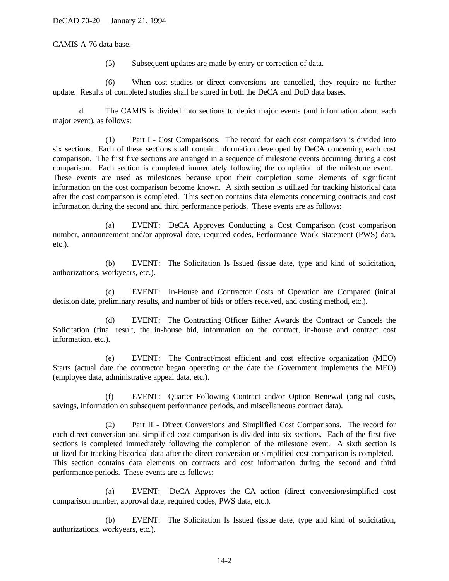CAMIS A-76 data base.

(5) Subsequent updates are made by entry or correction of data.

(6) When cost studies or direct conversions are cancelled, they require no further update. Results of completed studies shall be stored in both the DeCA and DoD data bases.

d. The CAMIS is divided into sections to depict major events (and information about each major event), as follows:

(1) Part I - Cost Comparisons. The record for each cost comparison is divided into six sections. Each of these sections shall contain information developed by DeCA concerning each cost comparison. The first five sections are arranged in a sequence of milestone events occurring during a cost comparison. Each section is completed immediately following the completion of the milestone event. These events are used as milestones because upon their completion some elements of significant information on the cost comparison become known. A sixth section is utilized for tracking historical data after the cost comparison is completed. This section contains data elements concerning contracts and cost information during the second and third performance periods. These events are as follows:

(a) EVENT: DeCA Approves Conducting a Cost Comparison (cost comparison number, announcement and/or approval date, required codes, Performance Work Statement (PWS) data, etc.).

(b) EVENT: The Solicitation Is Issued (issue date, type and kind of solicitation, authorizations, workyears, etc.).

(c) EVENT: In-House and Contractor Costs of Operation are Compared (initial decision date, preliminary results, and number of bids or offers received, and costing method, etc.).

(d) EVENT: The Contracting Officer Either Awards the Contract or Cancels the Solicitation (final result, the in-house bid, information on the contract, in-house and contract cost information, etc.).

(e) EVENT: The Contract/most efficient and cost effective organization (MEO) Starts (actual date the contractor began operating or the date the Government implements the MEO) (employee data, administrative appeal data, etc.).

(f) EVENT: Quarter Following Contract and/or Option Renewal (original costs, savings, information on subsequent performance periods, and miscellaneous contract data).

(2) Part II - Direct Conversions and Simplified Cost Comparisons. The record for each direct conversion and simplified cost comparison is divided into six sections. Each of the first five sections is completed immediately following the completion of the milestone event. A sixth section is utilized for tracking historical data after the direct conversion or simplified cost comparison is completed. This section contains data elements on contracts and cost information during the second and third performance periods. These events are as follows:

(a) EVENT: DeCA Approves the CA action (direct conversion/simplified cost comparison number, approval date, required codes, PWS data, etc.).

(b) EVENT: The Solicitation Is Issued (issue date, type and kind of solicitation, authorizations, workyears, etc.).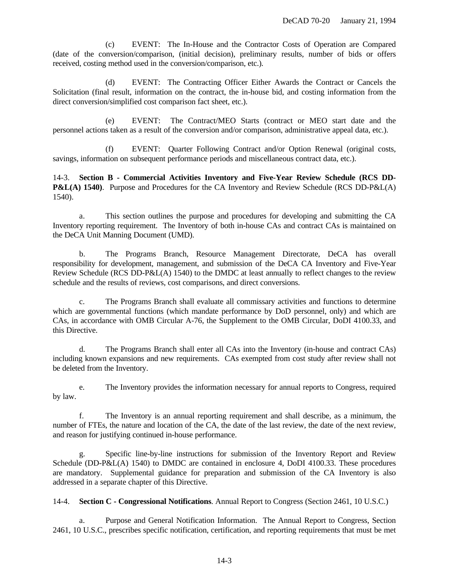(c) EVENT: The In-House and the Contractor Costs of Operation are Compared (date of the conversion/comparison, (initial decision), preliminary results, number of bids or offers received, costing method used in the conversion/comparison, etc.).

(d) EVENT: The Contracting Officer Either Awards the Contract or Cancels the Solicitation (final result, information on the contract, the in-house bid, and costing information from the direct conversion/simplified cost comparison fact sheet, etc.).

(e) EVENT: The Contract/MEO Starts (contract or MEO start date and the personnel actions taken as a result of the conversion and/or comparison, administrative appeal data, etc.).

(f) EVENT: Quarter Following Contract and/or Option Renewal (original costs, savings, information on subsequent performance periods and miscellaneous contract data, etc.).

14-3. **Section B - Commercial Activities Inventory and Five-Year Review Schedule (RCS DD-P&L(A) 1540)**. Purpose and Procedures for the CA Inventory and Review Schedule (RCS DD-P&L(A) 1540).

a. This section outlines the purpose and procedures for developing and submitting the CA Inventory reporting requirement. The Inventory of both in-house CAs and contract CAs is maintained on the DeCA Unit Manning Document (UMD).

b. The Programs Branch, Resource Management Directorate, DeCA has overall responsibility for development, management, and submission of the DeCA CA Inventory and Five-Year Review Schedule (RCS DD-P&L(A) 1540) to the DMDC at least annually to reflect changes to the review schedule and the results of reviews, cost comparisons, and direct conversions.

c. The Programs Branch shall evaluate all commissary activities and functions to determine which are governmental functions (which mandate performance by DoD personnel, only) and which are CAs, in accordance with OMB Circular A-76, the Supplement to the OMB Circular, DoDI 4100.33, and this Directive.

d. The Programs Branch shall enter all CAs into the Inventory (in-house and contract CAs) including known expansions and new requirements. CAs exempted from cost study after review shall not be deleted from the Inventory.

e. The Inventory provides the information necessary for annual reports to Congress, required by law.

f. The Inventory is an annual reporting requirement and shall describe, as a minimum, the number of FTEs, the nature and location of the CA, the date of the last review, the date of the next review, and reason for justifying continued in-house performance.

g. Specific line-by-line instructions for submission of the Inventory Report and Review Schedule (DD-P&L(A) 1540) to DMDC are contained in enclosure 4, DoDI 4100.33. These procedures are mandatory. Supplemental guidance for preparation and submission of the CA Inventory is also addressed in a separate chapter of this Directive.

14-4. **Section C - Congressional Notifications**. Annual Report to Congress (Section 2461, 10 U.S.C.)

a. Purpose and General Notification Information. The Annual Report to Congress, Section 2461, 10 U.S.C., prescribes specific notification, certification, and reporting requirements that must be met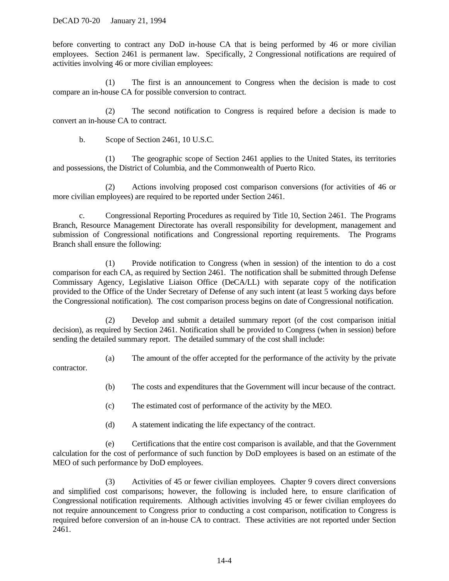before converting to contract any DoD in-house CA that is being performed by 46 or more civilian employees. Section 2461 is permanent law. Specifically, 2 Congressional notifications are required of activities involving 46 or more civilian employees:

(1) The first is an announcement to Congress when the decision is made to cost compare an in-house CA for possible conversion to contract.

(2) The second notification to Congress is required before a decision is made to convert an in-house CA to contract.

b. Scope of Section 2461, 10 U.S.C.

(1) The geographic scope of Section 2461 applies to the United States, its territories and possessions, the District of Columbia, and the Commonwealth of Puerto Rico.

(2) Actions involving proposed cost comparison conversions (for activities of 46 or more civilian employees) are required to be reported under Section 2461.

c. Congressional Reporting Procedures as required by Title 10, Section 2461. The Programs Branch, Resource Management Directorate has overall responsibility for development, management and submission of Congressional notifications and Congressional reporting requirements. The Programs Branch shall ensure the following:

(1) Provide notification to Congress (when in session) of the intention to do a cost comparison for each CA, as required by Section 2461. The notification shall be submitted through Defense Commissary Agency, Legislative Liaison Office (DeCA/LL) with separate copy of the notification provided to the Office of the Under Secretary of Defense of any such intent (at least 5 working days before the Congressional notification). The cost comparison process begins on date of Congressional notification.

(2) Develop and submit a detailed summary report (of the cost comparison initial decision), as required by Section 2461. Notification shall be provided to Congress (when in session) before sending the detailed summary report. The detailed summary of the cost shall include:

(a) The amount of the offer accepted for the performance of the activity by the private contractor.

- (b) The costs and expenditures that the Government will incur because of the contract.
- (c) The estimated cost of performance of the activity by the MEO.
- (d) A statement indicating the life expectancy of the contract.

(e) Certifications that the entire cost comparison is available, and that the Government calculation for the cost of performance of such function by DoD employees is based on an estimate of the MEO of such performance by DoD employees.

(3) Activities of 45 or fewer civilian employees. Chapter 9 covers direct conversions and simplified cost comparisons; however, the following is included here, to ensure clarification of Congressional notification requirements. Although activities involving 45 or fewer civilian employees do not require announcement to Congress prior to conducting a cost comparison, notification to Congress is required before conversion of an in-house CA to contract. These activities are not reported under Section 2461.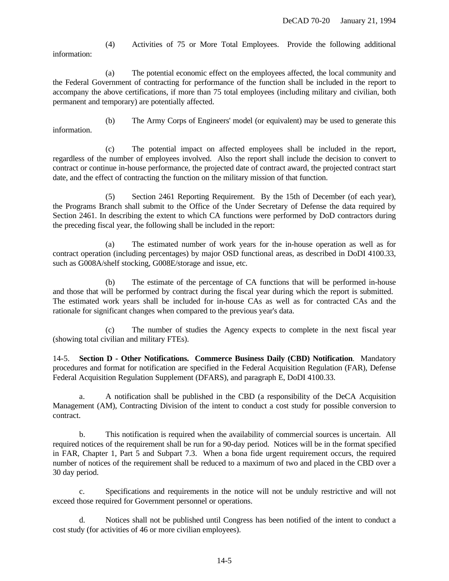(4) Activities of 75 or More Total Employees. Provide the following additional information:

(a) The potential economic effect on the employees affected, the local community and the Federal Government of contracting for performance of the function shall be included in the report to accompany the above certifications, if more than 75 total employees (including military and civilian, both permanent and temporary) are potentially affected.

(b) The Army Corps of Engineers' model (or equivalent) may be used to generate this information.

(c) The potential impact on affected employees shall be included in the report, regardless of the number of employees involved. Also the report shall include the decision to convert to contract or continue in-house performance, the projected date of contract award, the projected contract start date, and the effect of contracting the function on the military mission of that function.

(5) Section 2461 Reporting Requirement. By the 15th of December (of each year), the Programs Branch shall submit to the Office of the Under Secretary of Defense the data required by Section 2461. In describing the extent to which CA functions were performed by DoD contractors during the preceding fiscal year, the following shall be included in the report:

(a) The estimated number of work years for the in-house operation as well as for contract operation (including percentages) by major OSD functional areas, as described in DoDI 4100.33, such as G008A/shelf stocking, G008E/storage and issue, etc.

(b) The estimate of the percentage of CA functions that will be performed in-house and those that will be performed by contract during the fiscal year during which the report is submitted. The estimated work years shall be included for in-house CAs as well as for contracted CAs and the rationale for significant changes when compared to the previous year's data.

(c) The number of studies the Agency expects to complete in the next fiscal year (showing total civilian and military FTEs).

14-5. **Section D - Other Notifications. Commerce Business Daily (CBD) Notification**. Mandatory procedures and format for notification are specified in the Federal Acquisition Regulation (FAR), Defense Federal Acquisition Regulation Supplement (DFARS), and paragraph E, DoDI 4100.33.

a. A notification shall be published in the CBD (a responsibility of the DeCA Acquisition Management (AM), Contracting Division of the intent to conduct a cost study for possible conversion to contract.

b. This notification is required when the availability of commercial sources is uncertain. All required notices of the requirement shall be run for a 90-day period. Notices will be in the format specified in FAR, Chapter 1, Part 5 and Subpart 7.3. When a bona fide urgent requirement occurs, the required number of notices of the requirement shall be reduced to a maximum of two and placed in the CBD over a 30 day period.

c. Specifications and requirements in the notice will not be unduly restrictive and will not exceed those required for Government personnel or operations.

d. Notices shall not be published until Congress has been notified of the intent to conduct a cost study (for activities of 46 or more civilian employees).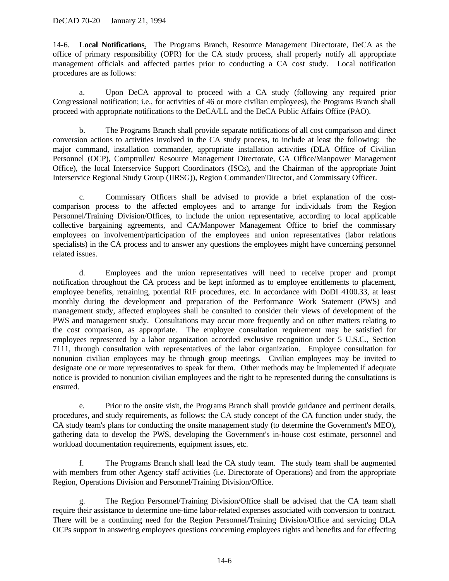14-6. **Local Notifications**. The Programs Branch, Resource Management Directorate, DeCA as the office of primary responsibility (OPR) for the CA study process, shall properly notify all appropriate management officials and affected parties prior to conducting a CA cost study. Local notification procedures are as follows:

a. Upon DeCA approval to proceed with a CA study (following any required prior Congressional notification; i.e., for activities of 46 or more civilian employees), the Programs Branch shall proceed with appropriate notifications to the DeCA/LL and the DeCA Public Affairs Office (PAO).

b. The Programs Branch shall provide separate notifications of all cost comparison and direct conversion actions to activities involved in the CA study process, to include at least the following: the major command, installation commander, appropriate installation activities (DLA Office of Civilian Personnel (OCP), Comptroller/ Resource Management Directorate, CA Office/Manpower Management Office), the local Interservice Support Coordinators (ISCs), and the Chairman of the appropriate Joint Interservice Regional Study Group (JIRSG)), Region Commander/Director, and Commissary Officer.

c. Commissary Officers shall be advised to provide a brief explanation of the costcomparison process to the affected employees and to arrange for individuals from the Region Personnel/Training Division/Offices, to include the union representative, according to local applicable collective bargaining agreements, and CA/Manpower Management Office to brief the commissary employees on involvement/participation of the employees and union representatives (labor relations specialists) in the CA process and to answer any questions the employees might have concerning personnel related issues.

d. Employees and the union representatives will need to receive proper and prompt notification throughout the CA process and be kept informed as to employee entitlements to placement, employee benefits, retraining, potential RIF procedures, etc. In accordance with DoDI 4100.33, at least monthly during the development and preparation of the Performance Work Statement (PWS) and management study, affected employees shall be consulted to consider their views of development of the PWS and management study. Consultations may occur more frequently and on other matters relating to the cost comparison, as appropriate. The employee consultation requirement may be satisfied for employees represented by a labor organization accorded exclusive recognition under 5 U.S.C., Section 7111, through consultation with representatives of the labor organization. Employee consultation for nonunion civilian employees may be through group meetings. Civilian employees may be invited to designate one or more representatives to speak for them. Other methods may be implemented if adequate notice is provided to nonunion civilian employees and the right to be represented during the consultations is ensured.

e. Prior to the onsite visit, the Programs Branch shall provide guidance and pertinent details, procedures, and study requirements, as follows: the CA study concept of the CA function under study, the CA study team's plans for conducting the onsite management study (to determine the Government's MEO), gathering data to develop the PWS, developing the Government's in-house cost estimate, personnel and workload documentation requirements, equipment issues, etc.

f. The Programs Branch shall lead the CA study team. The study team shall be augmented with members from other Agency staff activities (i.e. Directorate of Operations) and from the appropriate Region, Operations Division and Personnel/Training Division/Office.

g. The Region Personnel/Training Division/Office shall be advised that the CA team shall require their assistance to determine one-time labor-related expenses associated with conversion to contract. There will be a continuing need for the Region Personnel/Training Division/Office and servicing DLA OCPs support in answering employees questions concerning employees rights and benefits and for effecting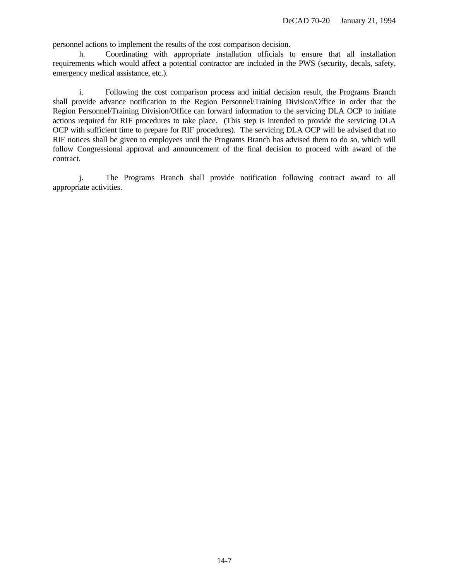personnel actions to implement the results of the cost comparison decision.

h. Coordinating with appropriate installation officials to ensure that all installation requirements which would affect a potential contractor are included in the PWS (security, decals, safety, emergency medical assistance, etc.).

i. Following the cost comparison process and initial decision result, the Programs Branch shall provide advance notification to the Region Personnel/Training Division/Office in order that the Region Personnel/Training Division/Office can forward information to the servicing DLA OCP to initiate actions required for RIF procedures to take place. (This step is intended to provide the servicing DLA OCP with sufficient time to prepare for RIF procedures). The servicing DLA OCP will be advised that no RIF notices shall be given to employees until the Programs Branch has advised them to do so, which will follow Congressional approval and announcement of the final decision to proceed with award of the contract.

j. The Programs Branch shall provide notification following contract award to all appropriate activities.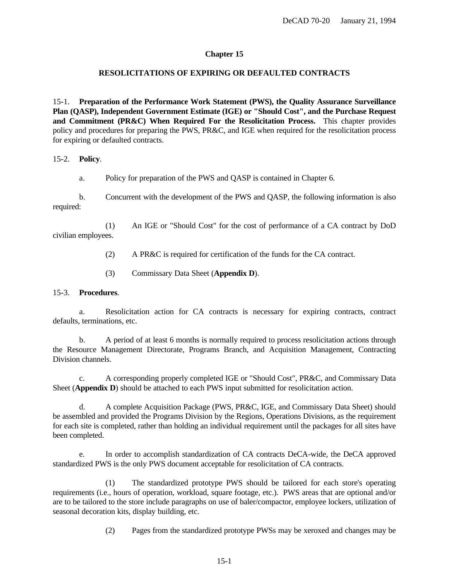# **Chapter 15**

# **RESOLICITATIONS OF EXPIRING OR DEFAULTED CONTRACTS**

15-1. **Preparation of the Performance Work Statement (PWS), the Quality Assurance Surveillance Plan (QASP), Independent Government Estimate (IGE) or "Should Cost", and the Purchase Request and Commitment (PR&C) When Required For the Resolicitation Process.** This chapter provides policy and procedures for preparing the PWS, PR&C, and IGE when required for the resolicitation process for expiring or defaulted contracts.

15-2. **Policy**.

a. Policy for preparation of the PWS and QASP is contained in Chapter 6.

b. Concurrent with the development of the PWS and QASP, the following information is also required:

(1) An IGE or "Should Cost" for the cost of performance of a CA contract by DoD civilian employees.

(2) A PR&C is required for certification of the funds for the CA contract.

(3) Commissary Data Sheet (**Appendix D**).

## 15-3. **Procedures**.

a. Resolicitation action for CA contracts is necessary for expiring contracts, contract defaults, terminations, etc.

b. A period of at least 6 months is normally required to process resolicitation actions through the Resource Management Directorate, Programs Branch, and Acquisition Management, Contracting Division channels.

c. A corresponding properly completed IGE or "Should Cost", PR&C, and Commissary Data Sheet (**Appendix D**) should be attached to each PWS input submitted for resolicitation action.

d. A complete Acquisition Package (PWS, PR&C, IGE, and Commissary Data Sheet) should be assembled and provided the Programs Division by the Regions, Operations Divisions, as the requirement for each site is completed, rather than holding an individual requirement until the packages for all sites have been completed.

e. In order to accomplish standardization of CA contracts DeCA-wide, the DeCA approved standardized PWS is the only PWS document acceptable for resolicitation of CA contracts.

(1) The standardized prototype PWS should be tailored for each store's operating requirements (i.e., hours of operation, workload, square footage, etc.). PWS areas that are optional and/or are to be tailored to the store include paragraphs on use of baler/compactor, employee lockers, utilization of seasonal decoration kits, display building, etc.

(2) Pages from the standardized prototype PWSs may be xeroxed and changes may be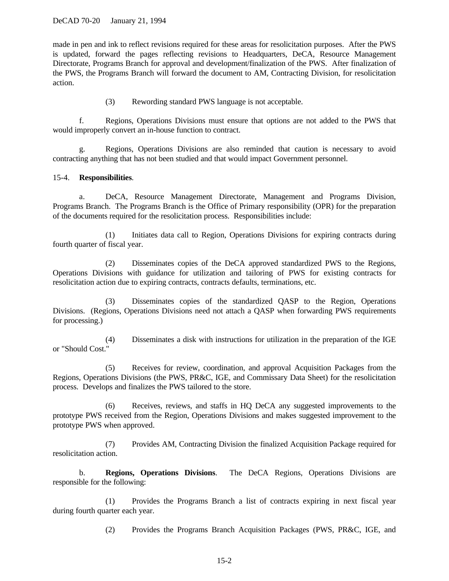made in pen and ink to reflect revisions required for these areas for resolicitation purposes. After the PWS is updated, forward the pages reflecting revisions to Headquarters, DeCA, Resource Management Directorate, Programs Branch for approval and development/finalization of the PWS. After finalization of the PWS, the Programs Branch will forward the document to AM, Contracting Division, for resolicitation action.

(3) Rewording standard PWS language is not acceptable.

f. Regions, Operations Divisions must ensure that options are not added to the PWS that would improperly convert an in-house function to contract.

g. Regions, Operations Divisions are also reminded that caution is necessary to avoid contracting anything that has not been studied and that would impact Government personnel.

#### 15-4. **Responsibilities**.

a. DeCA, Resource Management Directorate, Management and Programs Division, Programs Branch. The Programs Branch is the Office of Primary responsibility (OPR) for the preparation of the documents required for the resolicitation process. Responsibilities include:

(1) Initiates data call to Region, Operations Divisions for expiring contracts during fourth quarter of fiscal year.

(2) Disseminates copies of the DeCA approved standardized PWS to the Regions, Operations Divisions with guidance for utilization and tailoring of PWS for existing contracts for resolicitation action due to expiring contracts, contracts defaults, terminations, etc.

(3) Disseminates copies of the standardized QASP to the Region, Operations Divisions. (Regions, Operations Divisions need not attach a QASP when forwarding PWS requirements for processing.)

(4) Disseminates a disk with instructions for utilization in the preparation of the IGE or "Should Cost."

(5) Receives for review, coordination, and approval Acquisition Packages from the Regions, Operations Divisions (the PWS, PR&C, IGE, and Commissary Data Sheet) for the resolicitation process. Develops and finalizes the PWS tailored to the store.

(6) Receives, reviews, and staffs in HQ DeCA any suggested improvements to the prototype PWS received from the Region, Operations Divisions and makes suggested improvement to the prototype PWS when approved.

(7) Provides AM, Contracting Division the finalized Acquisition Package required for resolicitation action.

b. **Regions, Operations Divisions**. The DeCA Regions, Operations Divisions are responsible for the following:

(1) Provides the Programs Branch a list of contracts expiring in next fiscal year during fourth quarter each year.

(2) Provides the Programs Branch Acquisition Packages (PWS, PR&C, IGE, and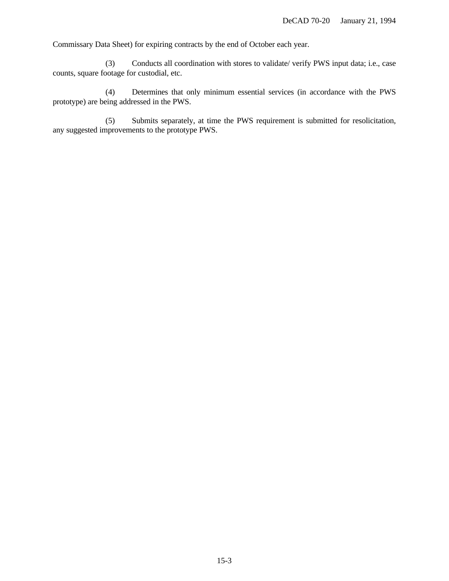Commissary Data Sheet) for expiring contracts by the end of October each year.

(3) Conducts all coordination with stores to validate/ verify PWS input data; i.e., case counts, square footage for custodial, etc.

(4) Determines that only minimum essential services (in accordance with the PWS prototype) are being addressed in the PWS.

(5) Submits separately, at time the PWS requirement is submitted for resolicitation, any suggested improvements to the prototype PWS.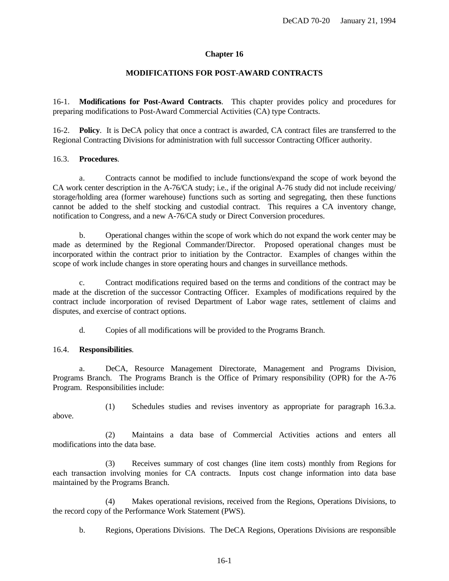## **Chapter 16**

## **MODIFICATIONS FOR POST-AWARD CONTRACTS**

16-1. **Modifications for Post-Award Contracts**. This chapter provides policy and procedures for preparing modifications to Post-Award Commercial Activities (CA) type Contracts.

16-2. **Policy**. It is DeCA policy that once a contract is awarded, CA contract files are transferred to the Regional Contracting Divisions for administration with full successor Contracting Officer authority.

## 16.3. **Procedures**.

a. Contracts cannot be modified to include functions/expand the scope of work beyond the CA work center description in the A-76/CA study; i.e., if the original A-76 study did not include receiving/ storage/holding area (former warehouse) functions such as sorting and segregating, then these functions cannot be added to the shelf stocking and custodial contract. This requires a CA inventory change, notification to Congress, and a new A-76/CA study or Direct Conversion procedures.

b. Operational changes within the scope of work which do not expand the work center may be made as determined by the Regional Commander/Director. Proposed operational changes must be incorporated within the contract prior to initiation by the Contractor. Examples of changes within the scope of work include changes in store operating hours and changes in surveillance methods.

c. Contract modifications required based on the terms and conditions of the contract may be made at the discretion of the successor Contracting Officer. Examples of modifications required by the contract include incorporation of revised Department of Labor wage rates, settlement of claims and disputes, and exercise of contract options.

d. Copies of all modifications will be provided to the Programs Branch.

## 16.4. **Responsibilities**.

a. DeCA, Resource Management Directorate, Management and Programs Division, Programs Branch. The Programs Branch is the Office of Primary responsibility (OPR) for the A-76 Program. Responsibilities include:

(1) Schedules studies and revises inventory as appropriate for paragraph 16.3.a. above.

(2) Maintains a data base of Commercial Activities actions and enters all modifications into the data base.

(3) Receives summary of cost changes (line item costs) monthly from Regions for each transaction involving monies for CA contracts. Inputs cost change information into data base maintained by the Programs Branch.

(4) Makes operational revisions, received from the Regions, Operations Divisions, to the record copy of the Performance Work Statement (PWS).

b. Regions, Operations Divisions. The DeCA Regions, Operations Divisions are responsible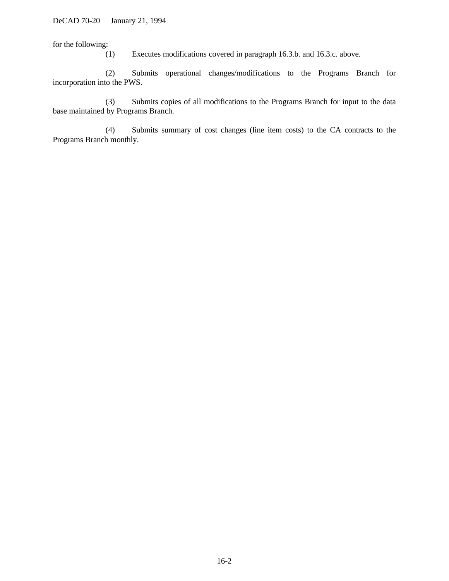for the following:

(1) Executes modifications covered in paragraph 16.3.b. and 16.3.c. above.

(2) Submits operational changes/modifications to the Programs Branch for incorporation into the PWS.

(3) Submits copies of all modifications to the Programs Branch for input to the data base maintained by Programs Branch.

(4) Submits summary of cost changes (line item costs) to the CA contracts to the Programs Branch monthly.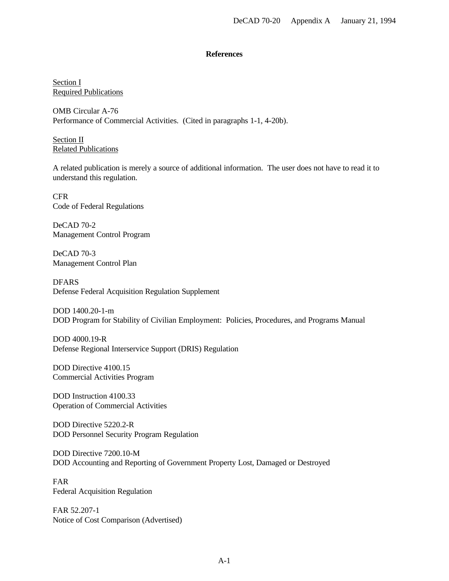### **References**

Section I Required Publications

OMB Circular A-76 Performance of Commercial Activities. (Cited in paragraphs 1-1, 4-20b).

Section<sub>II</sub> Related Publications

A related publication is merely a source of additional information. The user does not have to read it to understand this regulation.

CFR Code of Federal Regulations

DeCAD 70-2 Management Control Program

DeCAD 70-3 Management Control Plan

DFARS Defense Federal Acquisition Regulation Supplement

DOD 1400.20-1-m DOD Program for Stability of Civilian Employment: Policies, Procedures, and Programs Manual

DOD 4000.19-R Defense Regional Interservice Support (DRIS) Regulation

DOD Directive 4100.15 Commercial Activities Program

DOD Instruction 4100.33 Operation of Commercial Activities

DOD Directive 5220.2-R DOD Personnel Security Program Regulation

DOD Directive 7200.10-M DOD Accounting and Reporting of Government Property Lost, Damaged or Destroyed

FAR Federal Acquisition Regulation

FAR 52.207-1 Notice of Cost Comparison (Advertised)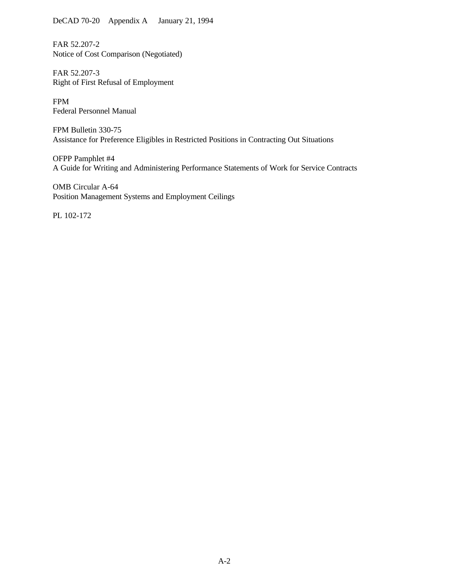DeCAD 70-20 Appendix A January 21, 1994

FAR 52.207-2 Notice of Cost Comparison (Negotiated)

FAR 52.207-3 Right of First Refusal of Employment

FPM Federal Personnel Manual

FPM Bulletin 330-75 Assistance for Preference Eligibles in Restricted Positions in Contracting Out Situations

OFPP Pamphlet #4 A Guide for Writing and Administering Performance Statements of Work for Service Contracts

OMB Circular A-64 Position Management Systems and Employment Ceilings

PL 102-172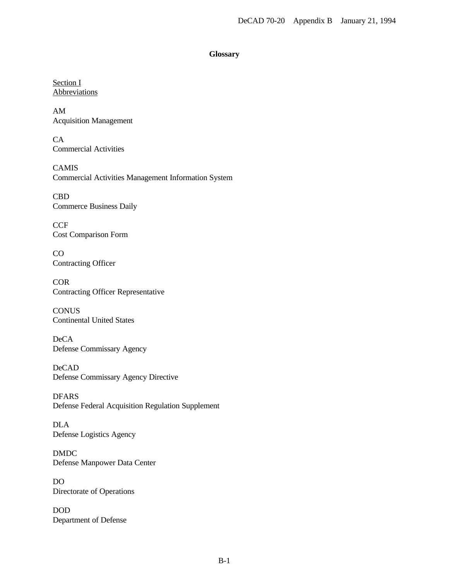### **Glossary**

Section I **Abbreviations** 

AM Acquisition Management

CA Commercial Activities

CAMIS Commercial Activities Management Information System

CBD Commerce Business Daily

**CCF** Cost Comparison Form

CO Contracting Officer

**COR** Contracting Officer Representative

**CONUS** Continental United States

DeCA Defense Commissary Agency

DeCAD Defense Commissary Agency Directive

DFARS Defense Federal Acquisition Regulation Supplement

DLA Defense Logistics Agency

DMDC Defense Manpower Data Center

DO Directorate of Operations

DOD Department of Defense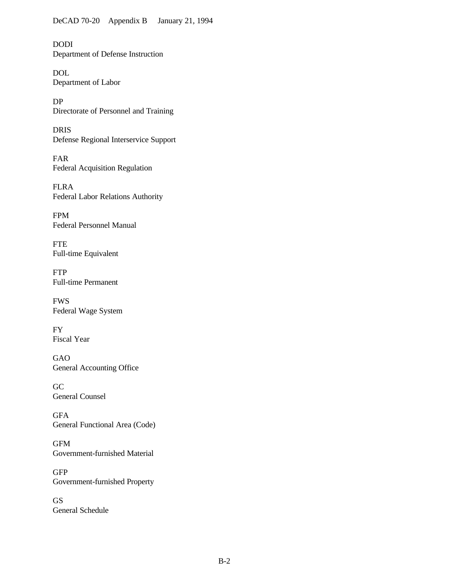DODI Department of Defense Instruction

DOL Department of Labor

DP Directorate of Personnel and Training

DRIS Defense Regional Interservice Support

FAR Federal Acquisition Regulation

FLRA Federal Labor Relations Authority

FPM Federal Personnel Manual

FTE Full-time Equivalent

FTP Full-time Permanent

FWS Federal Wage System

FY Fiscal Year

GAO General Accounting Office

GC General Counsel

GFA General Functional Area (Code)

GFM Government-furnished Material

**GFP** Government-furnished Property

GS General Schedule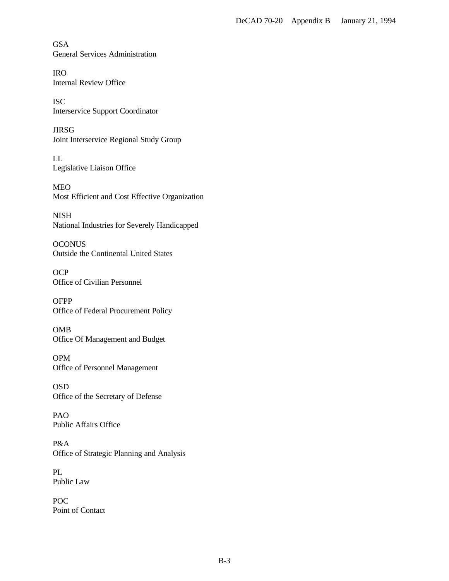GSA General Services Administration

IRO Internal Review Office

ISC Interservice Support Coordinator

JIRSG Joint Interservice Regional Study Group

LL Legislative Liaison Office

MEO Most Efficient and Cost Effective Organization

NISH National Industries for Severely Handicapped

**OCONUS** Outside the Continental United States

**OCP** Office of Civilian Personnel

**OFPP** Office of Federal Procurement Policy

OMB Office Of Management and Budget

OPM Office of Personnel Management

OSD Office of the Secretary of Defense

PAO Public Affairs Office

P&A Office of Strategic Planning and Analysis

PL Public Law

POC Point of Contact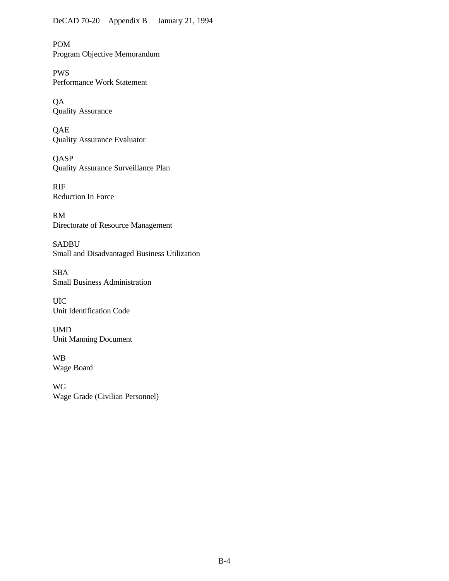POM Program Objective Memorandum

PWS Performance Work Statement

QA Quality Assurance

**QAE** Quality Assurance Evaluator

**QASP** Quality Assurance Surveillance Plan

RIF Reduction In Force

RM Directorate of Resource Management

SADBU Small and Disadvantaged Business Utilization

SBA Small Business Administration

UIC Unit Identification Code

UMD Unit Manning Document

WB Wage Board

WG Wage Grade (Civilian Personnel)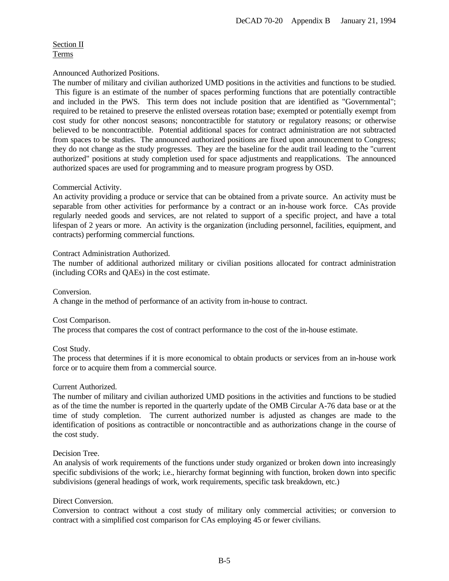# Section II Terms

## Announced Authorized Positions.

The number of military and civilian authorized UMD positions in the activities and functions to be studied. This figure is an estimate of the number of spaces performing functions that are potentially contractible and included in the PWS. This term does not include position that are identified as "Governmental"; required to be retained to preserve the enlisted overseas rotation base; exempted or potentially exempt from cost study for other noncost seasons; noncontractible for statutory or regulatory reasons; or otherwise believed to be noncontractible. Potential additional spaces for contract administration are not subtracted from spaces to be studies. The announced authorized positions are fixed upon announcement to Congress; they do not change as the study progresses. They are the baseline for the audit trail leading to the "current authorized" positions at study completion used for space adjustments and reapplications. The announced authorized spaces are used for programming and to measure program progress by OSD.

## Commercial Activity.

An activity providing a produce or service that can be obtained from a private source. An activity must be separable from other activities for performance by a contract or an in-house work force. CAs provide regularly needed goods and services, are not related to support of a specific project, and have a total lifespan of 2 years or more. An activity is the organization (including personnel, facilities, equipment, and contracts) performing commercial functions.

## Contract Administration Authorized.

The number of additional authorized military or civilian positions allocated for contract administration (including CORs and QAEs) in the cost estimate.

#### Conversion.

A change in the method of performance of an activity from in-house to contract.

#### Cost Comparison.

The process that compares the cost of contract performance to the cost of the in-house estimate.

## Cost Study.

The process that determines if it is more economical to obtain products or services from an in-house work force or to acquire them from a commercial source.

#### Current Authorized.

The number of military and civilian authorized UMD positions in the activities and functions to be studied as of the time the number is reported in the quarterly update of the OMB Circular A-76 data base or at the time of study completion. The current authorized number is adjusted as changes are made to the identification of positions as contractible or noncontractible and as authorizations change in the course of the cost study.

## Decision Tree.

An analysis of work requirements of the functions under study organized or broken down into increasingly specific subdivisions of the work; i.e., hierarchy format beginning with function, broken down into specific subdivisions (general headings of work, work requirements, specific task breakdown, etc.)

#### Direct Conversion.

Conversion to contract without a cost study of military only commercial activities; or conversion to contract with a simplified cost comparison for CAs employing 45 or fewer civilians.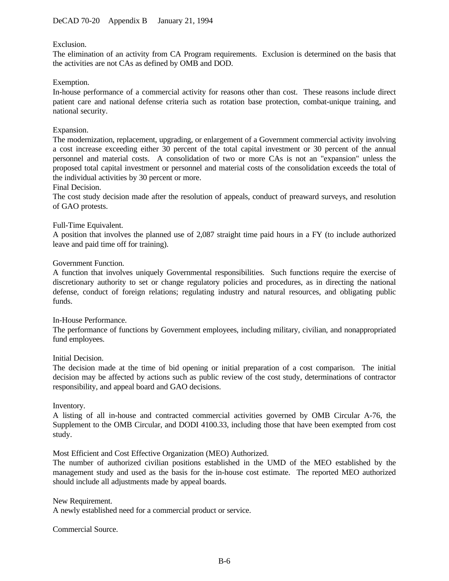## Exclusion.

The elimination of an activity from CA Program requirements. Exclusion is determined on the basis that the activities are not CAs as defined by OMB and DOD.

### Exemption.

In-house performance of a commercial activity for reasons other than cost. These reasons include direct patient care and national defense criteria such as rotation base protection, combat-unique training, and national security.

### Expansion.

The modernization, replacement, upgrading, or enlargement of a Government commercial activity involving a cost increase exceeding either 30 percent of the total capital investment or 30 percent of the annual personnel and material costs. A consolidation of two or more CAs is not an "expansion" unless the proposed total capital investment or personnel and material costs of the consolidation exceeds the total of the individual activities by 30 percent or more.

#### Final Decision.

The cost study decision made after the resolution of appeals, conduct of preaward surveys, and resolution of GAO protests.

### Full-Time Equivalent.

A position that involves the planned use of 2,087 straight time paid hours in a FY (to include authorized leave and paid time off for training).

#### Government Function.

A function that involves uniquely Governmental responsibilities. Such functions require the exercise of discretionary authority to set or change regulatory policies and procedures, as in directing the national defense, conduct of foreign relations; regulating industry and natural resources, and obligating public funds.

#### In-House Performance.

The performance of functions by Government employees, including military, civilian, and nonappropriated fund employees.

#### Initial Decision.

The decision made at the time of bid opening or initial preparation of a cost comparison. The initial decision may be affected by actions such as public review of the cost study, determinations of contractor responsibility, and appeal board and GAO decisions.

#### Inventory.

A listing of all in-house and contracted commercial activities governed by OMB Circular A-76, the Supplement to the OMB Circular, and DODI 4100.33, including those that have been exempted from cost study.

Most Efficient and Cost Effective Organization (MEO) Authorized.

The number of authorized civilian positions established in the UMD of the MEO established by the management study and used as the basis for the in-house cost estimate. The reported MEO authorized should include all adjustments made by appeal boards.

New Requirement. A newly established need for a commercial product or service.

Commercial Source.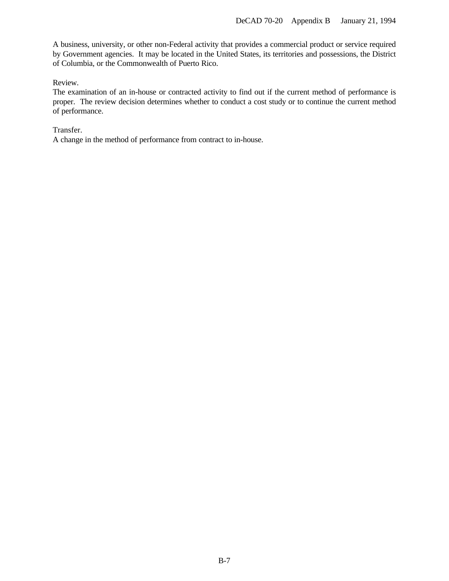A business, university, or other non-Federal activity that provides a commercial product or service required by Government agencies. It may be located in the United States, its territories and possessions, the District of Columbia, or the Commonwealth of Puerto Rico.

Review.

The examination of an in-house or contracted activity to find out if the current method of performance is proper. The review decision determines whether to conduct a cost study or to continue the current method of performance.

Transfer.

A change in the method of performance from contract to in-house.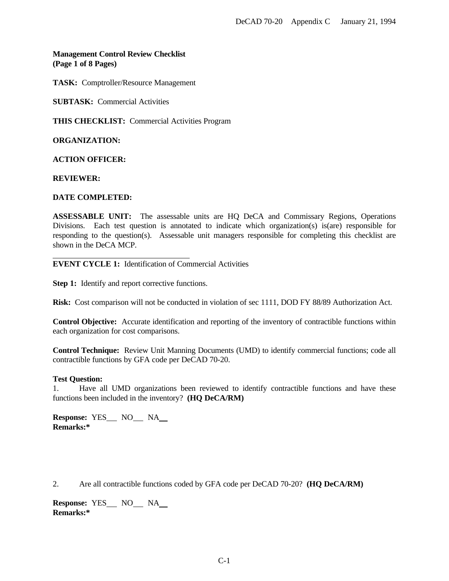# **Management Control Review Checklist (Page 1 of 8 Pages)**

**TASK:** Comptroller/Resource Management

**SUBTASK:** Commercial Activities

**THIS CHECKLIST:** Commercial Activities Program

**ORGANIZATION:**

**ACTION OFFICER:**

**REVIEWER:**

### **DATE COMPLETED:**

**ASSESSABLE UNIT:** The assessable units are HQ DeCA and Commissary Regions, Operations Divisions. Each test question is annotated to indicate which organization(s) is(are) responsible for responding to the question(s). Assessable unit managers responsible for completing this checklist are shown in the DeCA MCP.

**EVENT CYCLE 1:** Identification of Commercial Activities

**Step 1:** Identify and report corrective functions.

**Risk:** Cost comparison will not be conducted in violation of sec 1111, DOD FY 88/89 Authorization Act.

**Control Objective:** Accurate identification and reporting of the inventory of contractible functions within each organization for cost comparisons.

**Control Technique:** Review Unit Manning Documents (UMD) to identify commercial functions; code all contractible functions by GFA code per DeCAD 70-20.

#### **Test Question:**

1. Have all UMD organizations been reviewed to identify contractible functions and have these functions been included in the inventory? **(HQ DeCA/RM)**

**Response: YES** NO NA **Remarks:\***

2. Are all contractible functions coded by GFA code per DeCAD 70-20? **(HQ DeCA/RM)**

**Response: YES\_\_ NO\_\_ NA\_\_ Remarks:\***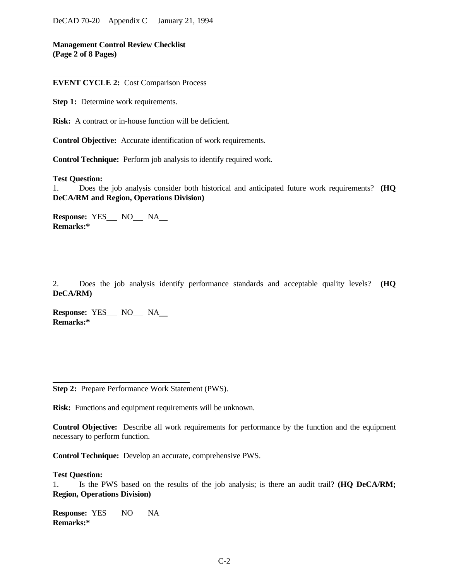**Management Control Review Checklist (Page 2 of 8 Pages)**

**EVENT CYCLE 2:** Cost Comparison Process

**Step 1:** Determine work requirements.

**Risk:** A contract or in-house function will be deficient.

**Control Objective:** Accurate identification of work requirements.

**Control Technique:** Perform job analysis to identify required work.

#### **Test Question:**

1. Does the job analysis consider both historical and anticipated future work requirements? **(HQ DeCA/RM and Region, Operations Division)**

**Response: YES\_\_\_ NO\_\_\_ NA\_\_ Remarks:\***

2. Does the job analysis identify performance standards and acceptable quality levels? **(HQ DeCA/RM)**

**Response: YES** NO NA **Remarks:\***

**Step 2:** Prepare Performance Work Statement (PWS).

**Risk:** Functions and equipment requirements will be unknown.

**Control Objective:** Describe all work requirements for performance by the function and the equipment necessary to perform function.

**Control Technique:** Develop an accurate, comprehensive PWS.

#### **Test Question:**

l

1. Is the PWS based on the results of the job analysis; is there an audit trail? **(HQ DeCA/RM; Region, Operations Division)**

**Response: YES\_\_\_ NO\_\_\_ NA Remarks:\***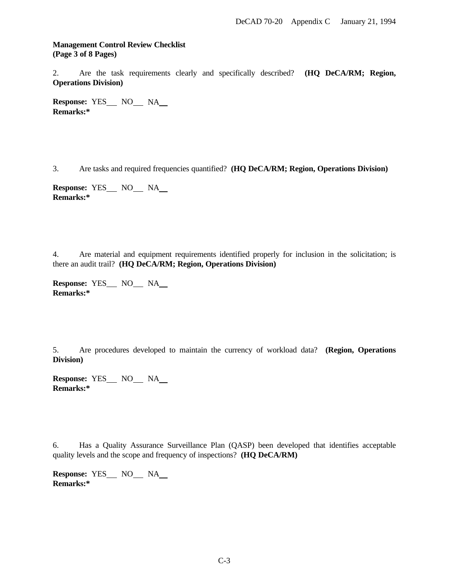## **Management Control Review Checklist (Page 3 of 8 Pages)**

2. Are the task requirements clearly and specifically described? **(HQ DeCA/RM; Region, Operations Division)**

**Response: YES\_\_\_ NO\_\_\_ NA Remarks:\***

3. Are tasks and required frequencies quantified? **(HQ DeCA/RM; Region, Operations Division)**

**Response: YES\_\_\_ NO\_\_\_ NA\_\_ Remarks:\***

4. Are material and equipment requirements identified properly for inclusion in the solicitation; is there an audit trail? **(HQ DeCA/RM; Region, Operations Division)**

**Response: YES** NO NA **Remarks:\***

5. Are procedures developed to maintain the currency of workload data? **(Region, Operations Division)**

**Response: YES\_\_\_ NO\_\_\_ NA\_\_ Remarks:\***

6. Has a Quality Assurance Surveillance Plan (QASP) been developed that identifies acceptable quality levels and the scope and frequency of inspections? **(HQ DeCA/RM)**

**Response: YES\_\_\_ NO\_\_\_ NA\_\_ Remarks:\***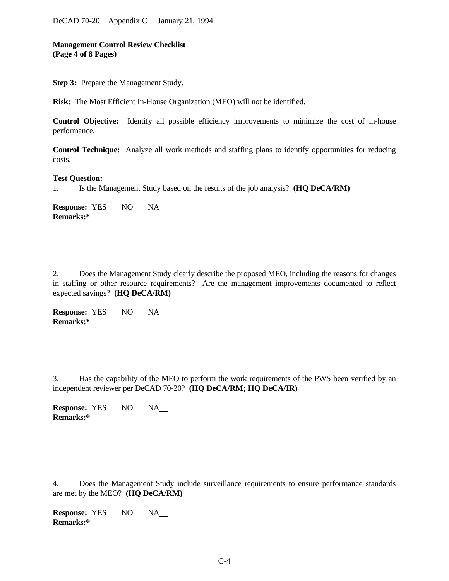**Management Control Review Checklist (Page 4 of 8 Pages)**

**Step 3:** Prepare the Management Study.

**Risk:** The Most Efficient In-House Organization (MEO) will not be identified.

**Control Objective:** Identify all possible efficiency improvements to minimize the cost of in-house performance.

**Control Technique:** Analyze all work methods and staffing plans to identify opportunities for reducing costs.

#### **Test Question:**

1. Is the Management Study based on the results of the job analysis? **(HQ DeCA/RM)**

**Response:** YES NO NA **Remarks:\***

2. Does the Management Study clearly describe the proposed MEO, including the reasons for changes in staffing or other resource requirements? Are the management improvements documented to reflect expected savings? **(HQ DeCA/RM)**

**Response: YES\_\_\_ NO\_\_\_ NA\_\_ Remarks:\***

3. Has the capability of the MEO to perform the work requirements of the PWS been verified by an independent reviewer per DeCAD 70-20? **(HQ DeCA/RM; HQ DeCA/IR)**

**Response: YES** NO NA **Remarks:\***

4. Does the Management Study include surveillance requirements to ensure performance standards are met by the MEO? **(HQ DeCA/RM)**

**Response: YES** NO NA **Remarks:\***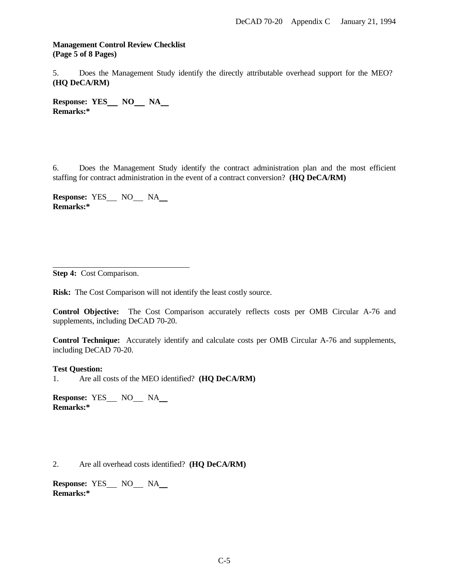## **Management Control Review Checklist (Page 5 of 8 Pages)**

5. Does the Management Study identify the directly attributable overhead support for the MEO? **(HQ DeCA/RM)**

Response: YES\_\_ NO\_\_ NA\_\_ **Remarks:\***

6. Does the Management Study identify the contract administration plan and the most efficient staffing for contract administration in the event of a contract conversion? **(HQ DeCA/RM)**

**Response: YES** NO NA **Remarks:\***

**Step 4:** Cost Comparison.

l

**Risk:** The Cost Comparison will not identify the least costly source.

**Control Objective:** The Cost Comparison accurately reflects costs per OMB Circular A-76 and supplements, including DeCAD 70-20.

**Control Technique:** Accurately identify and calculate costs per OMB Circular A-76 and supplements, including DeCAD 70-20.

**Test Question:**

1. Are all costs of the MEO identified? **(HQ DeCA/RM)**

**Response: YES** NO NA **Remarks:\***

2. Are all overhead costs identified? **(HQ DeCA/RM)**

Response: **YES\_\_ NO\_\_ NA\_\_ Remarks:\***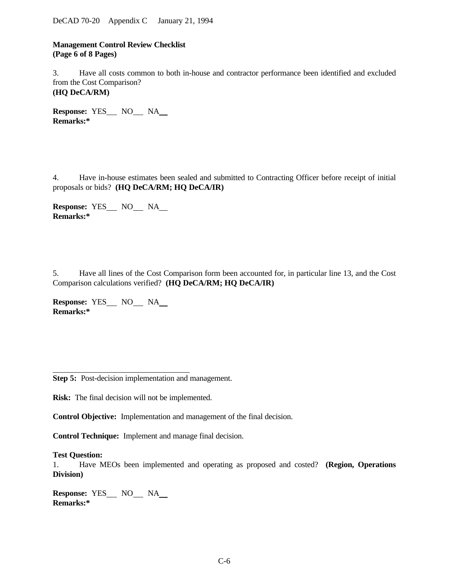DeCAD 70-20 Appendix C January 21, 1994

**Management Control Review Checklist (Page 6 of 8 Pages)**

3. Have all costs common to both in-house and contractor performance been identified and excluded from the Cost Comparison? **(HQ DeCA/RM)**

**Response: YES** NO NA **Remarks:\***

4. Have in-house estimates been sealed and submitted to Contracting Officer before receipt of initial proposals or bids? **(HQ DeCA/RM; HQ DeCA/IR)**

**Response: YES\_\_ NO NA Remarks:\***

5. Have all lines of the Cost Comparison form been accounted for, in particular line 13, and the Cost Comparison calculations verified? **(HQ DeCA/RM; HQ DeCA/IR)**

**Response: YES\_\_\_ NO\_\_\_ NA\_\_ Remarks:\***

**Step 5:** Post-decision implementation and management.

**Risk:** The final decision will not be implemented.

**Control Objective:** Implementation and management of the final decision.

**Control Technique:** Implement and manage final decision.

**Test Question:**

l

1. Have MEOs been implemented and operating as proposed and costed? **(Region, Operations Division)**

**Response:** YES NO NA **Remarks:\***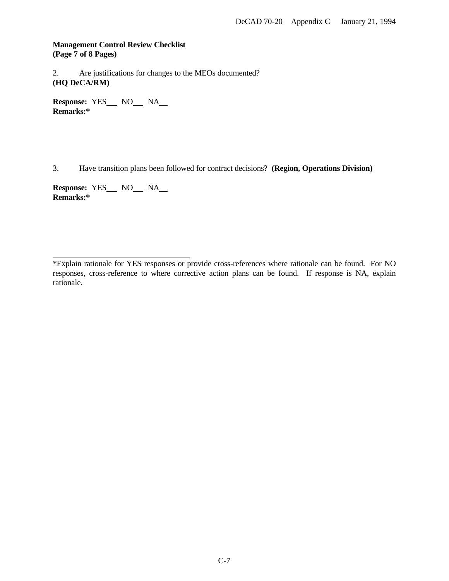**Management Control Review Checklist (Page 7 of 8 Pages)**

2. Are justifications for changes to the MEOs documented? **(HQ DeCA/RM)**

**Response: YES\_\_\_ NO\_\_\_ NA\_\_ Remarks:\***

3. Have transition plans been followed for contract decisions? **(Region, Operations Division)**

**Response: YES\_\_\_ NO\_\_\_ NA\_\_ Remarks:\***

l

<sup>\*</sup>Explain rationale for YES responses or provide cross-references where rationale can be found. For NO responses, cross-reference to where corrective action plans can be found. If response is NA, explain rationale.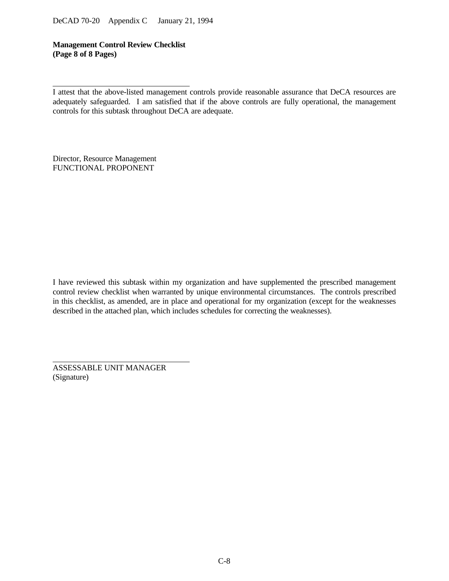**Management Control Review Checklist (Page 8 of 8 Pages)**

Director, Resource Management FUNCTIONAL PROPONENT

l

I have reviewed this subtask within my organization and have supplemented the prescribed management control review checklist when warranted by unique environmental circumstances. The controls prescribed in this checklist, as amended, are in place and operational for my organization (except for the weaknesses described in the attached plan, which includes schedules for correcting the weaknesses).

ASSESSABLE UNIT MANAGER (Signature)

I attest that the above-listed management controls provide reasonable assurance that DeCA resources are adequately safeguarded. I am satisfied that if the above controls are fully operational, the management controls for this subtask throughout DeCA are adequate.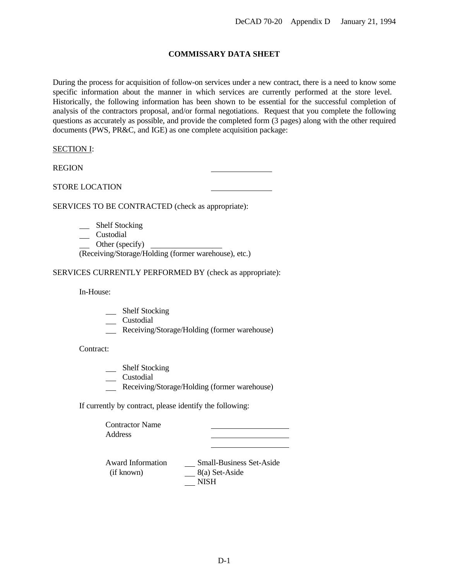# **COMMISSARY DATA SHEET**

During the process for acquisition of follow-on services under a new contract, there is a need to know some specific information about the manner in which services are currently performed at the store level. Historically, the following information has been shown to be essential for the successful completion of analysis of the contractors proposal, and/or formal negotiations. Request that you complete the following questions as accurately as possible, and provide the completed form (3 pages) along with the other required documents (PWS, PR&C, and IGE) as one complete acquisition package:

## SECTION I:

REGION

## STORE LOCATION

SERVICES TO BE CONTRACTED (check as appropriate):

- \_\_ Shelf Stocking
- \_\_ Custodial
- Other (specify)

(Receiving/Storage/Holding (former warehouse), etc.)

SERVICES CURRENTLY PERFORMED BY (check as appropriate):

In-House:

- \_\_ Shelf Stocking
- \_\_ Custodial
- Receiving/Storage/Holding (former warehouse)

Contract:

- \_\_ Shelf Stocking
- \_\_ Custodial
- Receiving/Storage/Holding (former warehouse)

If currently by contract, please identify the following:

Contractor Name Address

Award Information \_\_\_\_\_\_ Small-Business Set-Aside (if known)  $\overline{\phantom{184}}8(a)$  Set-Aside NISH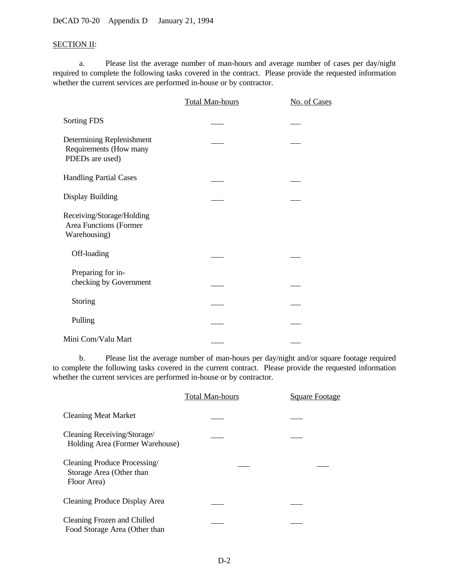DeCAD 70-20 Appendix D January 21, 1994

# SECTION II:

a. Please list the average number of man-hours and average number of cases per day/night required to complete the following tasks covered in the contract. Please provide the requested information whether the current services are performed in-house or by contractor.

|                                                                        | Total Man-hours | No. of Cases |
|------------------------------------------------------------------------|-----------------|--------------|
| Sorting FDS                                                            |                 |              |
| Determining Replenishment<br>Requirements (How many<br>PDEDs are used) |                 |              |
| <b>Handling Partial Cases</b>                                          |                 |              |
| <b>Display Building</b>                                                |                 |              |
| Receiving/Storage/Holding<br>Area Functions (Former<br>Warehousing)    |                 |              |
| Off-loading                                                            |                 |              |
| Preparing for in-<br>checking by Government                            |                 |              |
| Storing                                                                |                 |              |
| Pulling                                                                |                 |              |
| Mini Com/Valu Mart                                                     |                 |              |

b. Please list the average number of man-hours per day/night and/or square footage required to complete the following tasks covered in the current contract. Please provide the requested information whether the current services are performed in-house or by contractor.

|                                                                         | <b>Total Man-hours</b> | Square Footage |
|-------------------------------------------------------------------------|------------------------|----------------|
| <b>Cleaning Meat Market</b>                                             |                        |                |
| Cleaning Receiving/Storage/<br>Holding Area (Former Warehouse)          |                        |                |
| Cleaning Produce Processing/<br>Storage Area (Other than<br>Floor Area) |                        |                |
| Cleaning Produce Display Area                                           |                        |                |
| Cleaning Frozen and Chilled<br>Food Storage Area (Other than            |                        |                |